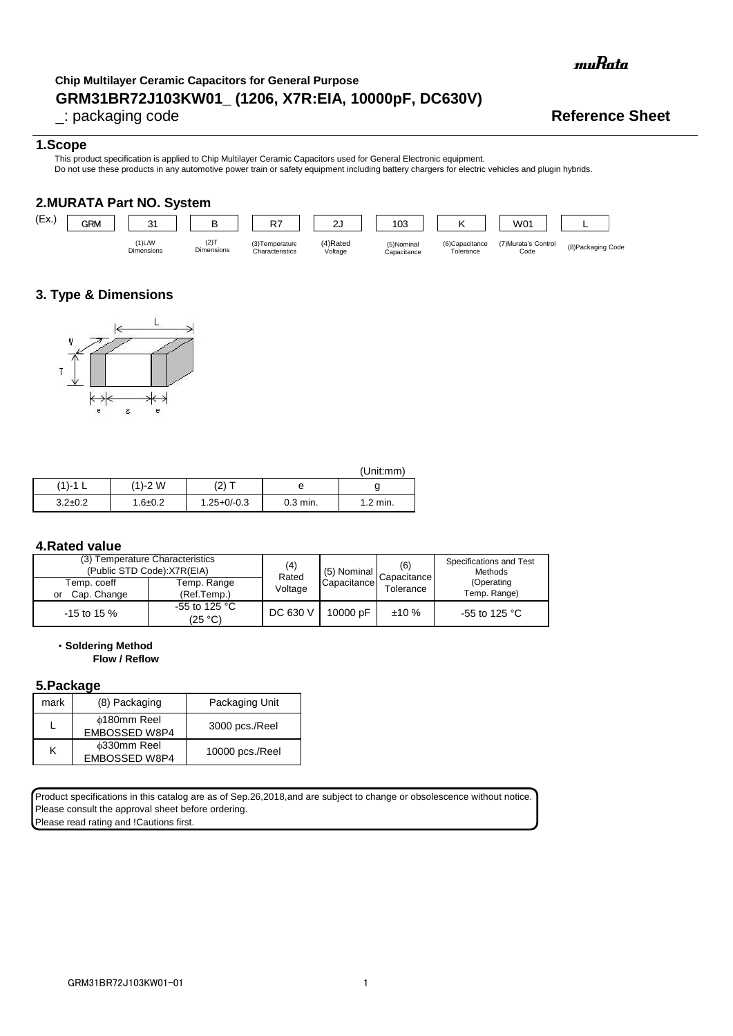muRata

# **GRM31BR72J103KW01\_ (1206, X7R:EIA, 10000pF, DC630V) Chip Multilayer Ceramic Capacitors for General Purpose**

# \_: packaging code **Reference Sheet**

### **1.Scope**

This product specification is applied to Chip Multilayer Ceramic Capacitors used for General Electronic equipment. Do not use these products in any automotive power train or safety equipment including battery chargers for electric vehicles and plugin hybrids.

## **2.MURATA Part NO. System**



# **3. Type & Dimensions**



|               |             |                 |            | (Unit:mm)  |
|---------------|-------------|-----------------|------------|------------|
| (1)-1         | (1)-2 W     | $(2)$ $\tau$    | е          |            |
| $3.2 \pm 0.2$ | $1.6 + 0.2$ | $1.25 + 0/-0.3$ | $0.3$ min. | $1.2$ min. |

#### **4.Rated value**

| (3) Temperature Characteristics<br>(Public STD Code):X7R(EIA) |                                    | (4)<br>Rated | (5) Nominal | (6)<br>Capacitance | Specifications and Test<br>Methods |
|---------------------------------------------------------------|------------------------------------|--------------|-------------|--------------------|------------------------------------|
| Temp. coeff                                                   | Temp. Range                        | Voltage      | Capacitance | Tolerance          | (Operating                         |
| Cap. Change<br>or                                             | (Ref.Temp.)                        |              |             |                    | Temp. Range)                       |
| $-15$ to 15 %                                                 | -55 to 125 $^{\circ}$ C<br>(25 °C) | DC 630 V     | 10000 pF    | ±10%               | -55 to 125 $^{\circ}$ C            |

・**Soldering Method**

# **Flow / Reflow**

### **5.Package**

| mark | (8) Packaging                       | Packaging Unit  |
|------|-------------------------------------|-----------------|
|      | <b>¢180mm Reel</b><br>EMBOSSED W8P4 | 3000 pcs./Reel  |
| Κ    | <b>¢330mm Reel</b><br>EMBOSSED W8P4 | 10000 pcs./Reel |

Product specifications in this catalog are as of Sep.26,2018,and are subject to change or obsolescence without notice. Please consult the approval sheet before ordering.

Please read rating and !Cautions first.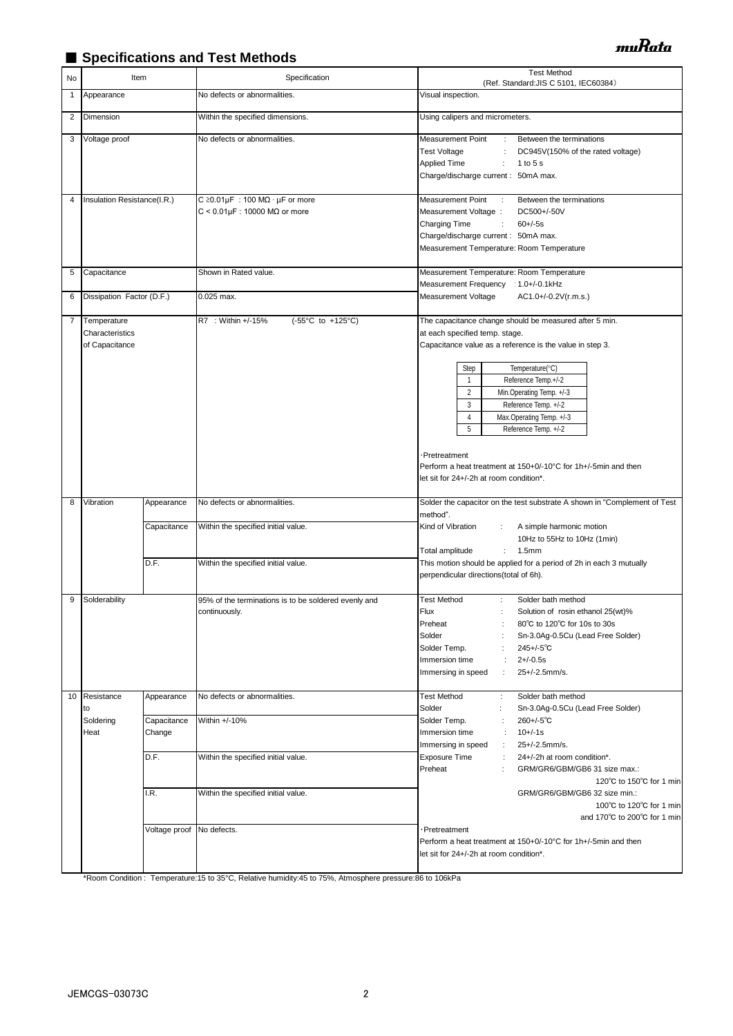# ■ Specifications and Test Methods

| No           | Item                                             |                           | Specification                                                                                       | <b>Test Method</b><br>(Ref. Standard: JIS C 5101, IEC60384)                                                                                                                                                                                                                                                                                                                                                                                                                                                |
|--------------|--------------------------------------------------|---------------------------|-----------------------------------------------------------------------------------------------------|------------------------------------------------------------------------------------------------------------------------------------------------------------------------------------------------------------------------------------------------------------------------------------------------------------------------------------------------------------------------------------------------------------------------------------------------------------------------------------------------------------|
| $\mathbf{1}$ | Appearance                                       |                           | No defects or abnormalities.                                                                        | Visual inspection.                                                                                                                                                                                                                                                                                                                                                                                                                                                                                         |
| 2            | Dimension                                        |                           | Within the specified dimensions.                                                                    | Using calipers and micrometers.                                                                                                                                                                                                                                                                                                                                                                                                                                                                            |
| 3            | Voltage proof                                    |                           | No defects or abnormalities.                                                                        | Measurement Point<br>Between the terminations<br>÷<br><b>Test Voltage</b><br>DC945V(150% of the rated voltage)<br>÷<br><b>Applied Time</b><br>÷<br>1 to 5 s<br>Charge/discharge current: 50mA max.                                                                                                                                                                                                                                                                                                         |
| 4            | Insulation Resistance(I.R.)                      |                           | C $\geq$ 0.01µF : 100 M $\Omega \cdot \mu$ F or more<br>$C < 0.01 \mu F$ : 10000 M $\Omega$ or more | Measurement Point<br>Between the terminations<br>$\mathcal{L}$<br>Measurement Voltage :<br>DC500+/-50V<br>Charging Time<br>$60 + (-5s)$<br>÷<br>Charge/discharge current: 50mA max.<br>Measurement Temperature: Room Temperature                                                                                                                                                                                                                                                                           |
| 5            | Capacitance                                      |                           | Shown in Rated value.                                                                               | Measurement Temperature: Room Temperature                                                                                                                                                                                                                                                                                                                                                                                                                                                                  |
| 6            | Dissipation Factor (D.F.)                        |                           | 0.025 max.                                                                                          | Measurement Frequency : 1.0+/-0.1kHz<br>AC1.0+/-0.2V(r.m.s.)<br>Measurement Voltage                                                                                                                                                                                                                                                                                                                                                                                                                        |
| 7            | Temperature<br>Characteristics<br>of Capacitance |                           | R7 : Within +/-15%<br>(-55°C to +125°C)                                                             | The capacitance change should be measured after 5 min.<br>at each specified temp. stage.<br>Capacitance value as a reference is the value in step 3.<br>Step<br>Temperature(°C)<br>Reference Temp.+/-2<br>$\mathbf{1}$<br>$\overline{2}$<br>Min.Operating Temp. +/-3<br>3<br>Reference Temp. +/-2<br>$\overline{4}$<br>Max.Operating Temp. +/-3<br>5<br>Reference Temp. +/-2<br>·Pretreatment<br>Perform a heat treatment at 150+0/-10°C for 1h+/-5min and then<br>let sit for 24+/-2h at room condition*. |
| 8            | Vibration                                        | Appearance                | No defects or abnormalities.                                                                        | Solder the capacitor on the test substrate A shown in "Complement of Test                                                                                                                                                                                                                                                                                                                                                                                                                                  |
|              |                                                  | Capacitance               | Within the specified initial value.                                                                 | method".<br>Kind of Vibration<br>A simple harmonic motion<br>10Hz to 55Hz to 10Hz (1min)<br>Total amplitude<br>1.5 <sub>mm</sub><br>÷                                                                                                                                                                                                                                                                                                                                                                      |
|              |                                                  | D.F.                      | Within the specified initial value.                                                                 | This motion should be applied for a period of 2h in each 3 mutually<br>perpendicular directions(total of 6h).                                                                                                                                                                                                                                                                                                                                                                                              |
| 9            | Solderability                                    |                           | 95% of the terminations is to be soldered evenly and<br>continuously.                               | <b>Test Method</b><br>Solder bath method<br>÷<br>Flux<br>Solution of rosin ethanol 25(wt)%<br>÷<br>Preheat<br>80°C to 120°C for 10s to 30s<br>÷<br>Solder<br>Sn-3.0Ag-0.5Cu (Lead Free Solder)<br>Solder Temp.<br>$245 + (-5)$ °C<br>$2 + (-0.5s)$<br>Immersion time<br>÷<br>25+/-2.5mm/s.<br>Immersing in speed<br>÷                                                                                                                                                                                      |
| 10           | Resistance<br>to<br>Soldering                    | Appearance<br>Capacitance | No defects or abnormalities.<br>Within +/-10%                                                       | <b>Test Method</b><br>÷<br>Solder bath method<br>Solder<br>Sn-3.0Ag-0.5Cu (Lead Free Solder)<br>÷<br>$260 +/-5$ °C<br>Solder Temp.<br>÷                                                                                                                                                                                                                                                                                                                                                                    |
|              | Heat                                             | Change<br>D.F.            | Within the specified initial value.                                                                 | $10 + (-1s)$<br>Immersion time<br>÷<br>25+/-2.5mm/s.<br>Immersing in speed<br>÷<br><b>Exposure Time</b><br>÷<br>24+/-2h at room condition*.<br>Preheat<br>GRM/GR6/GBM/GB6 31 size max.:                                                                                                                                                                                                                                                                                                                    |
|              |                                                  | I.R.                      | Within the specified initial value.                                                                 | 120°C to 150°C for 1 min<br>GRM/GR6/GBM/GB6 32 size min.:<br>100°C to 120°C for 1 min<br>and 170°C to 200°C for 1 min                                                                                                                                                                                                                                                                                                                                                                                      |
|              |                                                  | Voltage proof             | No defects.                                                                                         | Pretreatment<br>Perform a heat treatment at 150+0/-10°C for 1h+/-5min and then<br>let sit for 24+/-2h at room condition*.                                                                                                                                                                                                                                                                                                                                                                                  |

\*Room Condition : Temperature:15 to 35°C, Relative humidity:45 to 75%, Atmosphere pressure:86 to 106kPa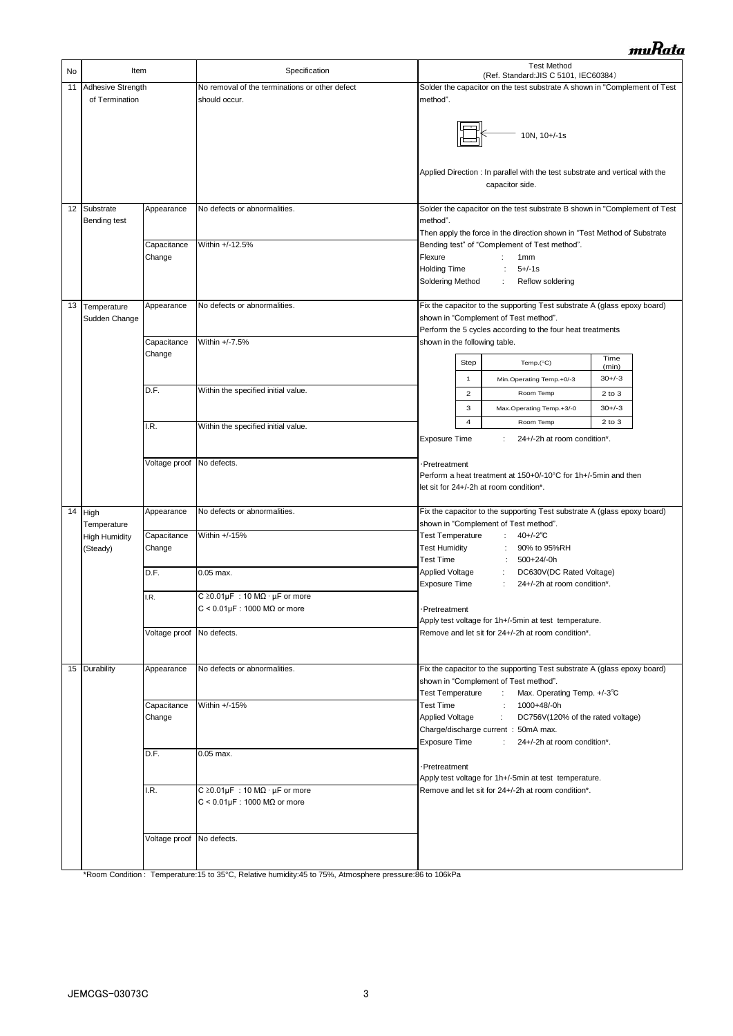| No | Item                                |                                        | Specification                                                                              | <b>Test Method</b><br>(Ref. Standard: JIS C 5101, IEC60384)                                                                                                                                                                       |  |
|----|-------------------------------------|----------------------------------------|--------------------------------------------------------------------------------------------|-----------------------------------------------------------------------------------------------------------------------------------------------------------------------------------------------------------------------------------|--|
| 11 | Adhesive Strength<br>of Termination |                                        | No removal of the terminations or other defect<br>should occur.                            | Solder the capacitor on the test substrate A shown in "Complement of Test<br>method".                                                                                                                                             |  |
|    |                                     |                                        |                                                                                            | 10N, 10+/-1s<br>Applied Direction : In parallel with the test substrate and vertical with the<br>capacitor side.                                                                                                                  |  |
| 12 | Substrate                           | Appearance                             | No defects or abnormalities.                                                               | Solder the capacitor on the test substrate B shown in "Complement of Test                                                                                                                                                         |  |
|    | Bending test                        |                                        |                                                                                            | method".<br>Then apply the force in the direction shown in "Test Method of Substrate                                                                                                                                              |  |
|    |                                     | Capacitance<br>Change                  | Within +/-12.5%                                                                            | Bending test" of "Complement of Test method".<br>Flexure<br>1 <sub>mm</sub>                                                                                                                                                       |  |
|    |                                     |                                        |                                                                                            | <b>Holding Time</b><br>$5 + (-1)$<br>$\ddot{\phantom{a}}$<br>Soldering Method<br>Reflow soldering<br>÷                                                                                                                            |  |
| 13 | Temperature                         | Appearance                             | No defects or abnormalities.                                                               | Fix the capacitor to the supporting Test substrate A (glass epoxy board)                                                                                                                                                          |  |
|    | Sudden Change                       |                                        |                                                                                            | shown in "Complement of Test method".<br>Perform the 5 cycles according to the four heat treatments                                                                                                                               |  |
|    |                                     | Capacitance                            | Within +/-7.5%                                                                             | shown in the following table.                                                                                                                                                                                                     |  |
|    |                                     | Change                                 |                                                                                            | Time<br><b>Step</b><br>Temp. $(^{\circ}C)$<br>(min)                                                                                                                                                                               |  |
|    |                                     |                                        |                                                                                            | 1<br>Min.Operating Temp.+0/-3<br>$30+/-3$                                                                                                                                                                                         |  |
|    |                                     | D.F.                                   | Within the specified initial value.                                                        | $\overline{2}$<br>Room Temp<br>$2$ to $3$                                                                                                                                                                                         |  |
|    |                                     |                                        |                                                                                            | 3<br>$30+/-3$<br>Max.Operating Temp.+3/-0<br>$\overline{4}$<br>$2$ to $3$<br>Room Temp                                                                                                                                            |  |
|    |                                     | I.R.                                   | Within the specified initial value.                                                        | <b>Exposure Time</b><br>24+/-2h at room condition*.                                                                                                                                                                               |  |
|    |                                     | Voltage proof No defects.              |                                                                                            | ·Pretreatment                                                                                                                                                                                                                     |  |
|    |                                     |                                        |                                                                                            | Perform a heat treatment at 150+0/-10°C for 1h+/-5min and then<br>let sit for 24+/-2h at room condition*.                                                                                                                         |  |
| 14 | High<br>Temperature                 | Appearance                             | No defects or abnormalities.                                                               | Fix the capacitor to the supporting Test substrate A (glass epoxy board)<br>shown in "Complement of Test method".                                                                                                                 |  |
|    | <b>High Humidity</b><br>(Steady)    | Capacitance<br>Change                  | Within +/-15%                                                                              | <b>Test Temperature</b><br>÷<br>$40 + (-2)$ °C<br><b>Test Humidity</b><br>90% to 95%RH<br><b>Test Time</b>                                                                                                                        |  |
|    |                                     | D.F.                                   | $0.05$ max.                                                                                | 500+24/-0h<br>÷<br><b>Applied Voltage</b><br>DC630V(DC Rated Voltage)<br><b>Exposure Time</b><br>÷<br>24+/-2h at room condition*.                                                                                                 |  |
|    |                                     | I.R.                                   | C $\geq$ 0.01µF : 10 M $\Omega \cdot \mu$ F or more                                        |                                                                                                                                                                                                                                   |  |
|    |                                     |                                        | $C < 0.01 \mu F$ : 1000 M $\Omega$ or more                                                 | -Pretreatment<br>Apply test voltage for 1h+/-5min at test temperature.                                                                                                                                                            |  |
|    |                                     | Voltage proof No defects.              |                                                                                            | Remove and let sit for 24+/-2h at room condition*.                                                                                                                                                                                |  |
|    | 15 Durability                       | Appearance                             | No defects or abnormalities.                                                               | Fix the capacitor to the supporting Test substrate A (glass epoxy board)<br>shown in "Complement of Test method".<br><b>Test Temperature</b><br>$\sim 10^{-1}$<br>Max. Operating Temp. +/-3°C                                     |  |
|    |                                     | Capacitance<br>Within +/-15%<br>Change |                                                                                            | <b>Test Time</b><br>: 1000+48/-0h<br>Applied Voltage<br>$\mathcal{I}^{\mathcal{I}}$ .<br>DC756V(120% of the rated voltage)<br>Charge/discharge current: 50mA max.<br><b>Exposure Time</b><br>$1 -$<br>24+/-2h at room condition*. |  |
|    |                                     | D.F.                                   | $0.05$ max.                                                                                |                                                                                                                                                                                                                                   |  |
|    |                                     |                                        |                                                                                            | ·Pretreatment<br>Apply test voltage for 1h+/-5min at test temperature.                                                                                                                                                            |  |
|    |                                     | I.R.                                   | C $\geq$ 0.01µF : 10 M $\Omega$ · µF or more<br>$C < 0.01 \mu F$ : 1000 M $\Omega$ or more | Remove and let sit for 24+/-2h at room condition*.                                                                                                                                                                                |  |
|    |                                     | Voltage proof No defects.              |                                                                                            |                                                                                                                                                                                                                                   |  |

\*Room Condition : Temperature:15 to 35°C, Relative humidity:45 to 75%, Atmosphere pressure:86 to 106kPa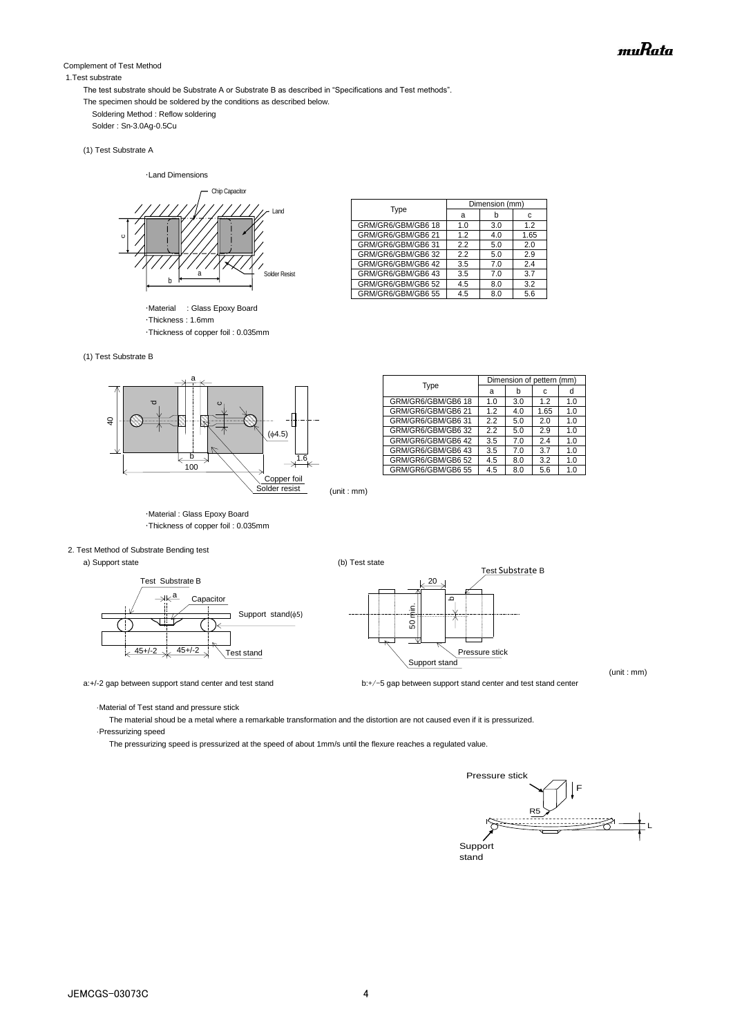#### Complement of Test Method

#### 1.Test substrate

The test substrate should be Substrate A or Substrate B as described in "Specifications and Test methods".

- The specimen should be soldered by the conditions as described below.
	- Soldering Method : Reflow soldering

Solder : Sn-3.0Ag-0.5Cu

(1) Test Substrate A

・Land Dimensions



・Material : Glass Epoxy Board ・Thickness : 1.6mm ・Thickness of copper foil : 0.035mm

|  | (1) Test Substrate B |  |
|--|----------------------|--|



| a<br>1.0<br>1.2 | b<br>3.0 | с<br>1.2 | d<br>1.0 |
|-----------------|----------|----------|----------|
|                 |          |          |          |
|                 |          |          |          |
|                 | 4.0      | 1.65     | 1.0      |
| 2.2             | 5.0      | 2.0      | 1.0      |
| 2.2             | 5.0      | 2.9      | 1.0      |
| 3.5             | 7.0      | 2.4      | 1.0      |
| 3.5             | 7.0      | 37       | 1.0      |
| 4.5             | 8.0      | 3.2      | 1.0      |
| 4.5             | 8.0      | 5.6      | 1.0      |
|                 |          |          |          |

Type Dimension (mm)<br>a b

GRM/GR6/GBM/GB6 42 3.5 7.0 2.4<br>GRM/GR6/GBM/GB6 43 3.5 7.0 3.7 GRM/GR6/GBM/GB6 43 3.5 7.0 3.7 GRM/GR6/GBM/GB6 52 4.5 8.0

GRM/GR6/GBM/GB6 18 1.0 3.0<br>GRM/GR6/GBM/GB6 21 1.2 4.0 GRM/GR6/GBM/GB6 21 | 1.2 | 4.0 | 1.65 GRM/GR6/GBM/GB6 31 2.2 5.0 2.0<br>GRM/GR6/GRM/GB6 32 22 5.0 2.9

GRM/GR6/GRM/GR6 32

 $GR6/GRM/$ 

 $a$  b c



・Material : Glass Epoxy Board ・Thickness of copper foil : 0.035mm

#### 2. Test Method of Substrate Bending test

a) Support state (b) Test state (c)





a:+/-2 gap between support stand center and test stand **by the stand by the stand center** and test stand center

(unit : mm)

·Material of Test stand and pressure stick

 The material shoud be a metal where a remarkable transformation and the distortion are not caused even if it is pressurized. ·Pressurizing speed

The pressurizing speed is pressurized at the speed of about 1mm/s until the flexure reaches a regulated value.

Pressure stick F R5 L **Support** stand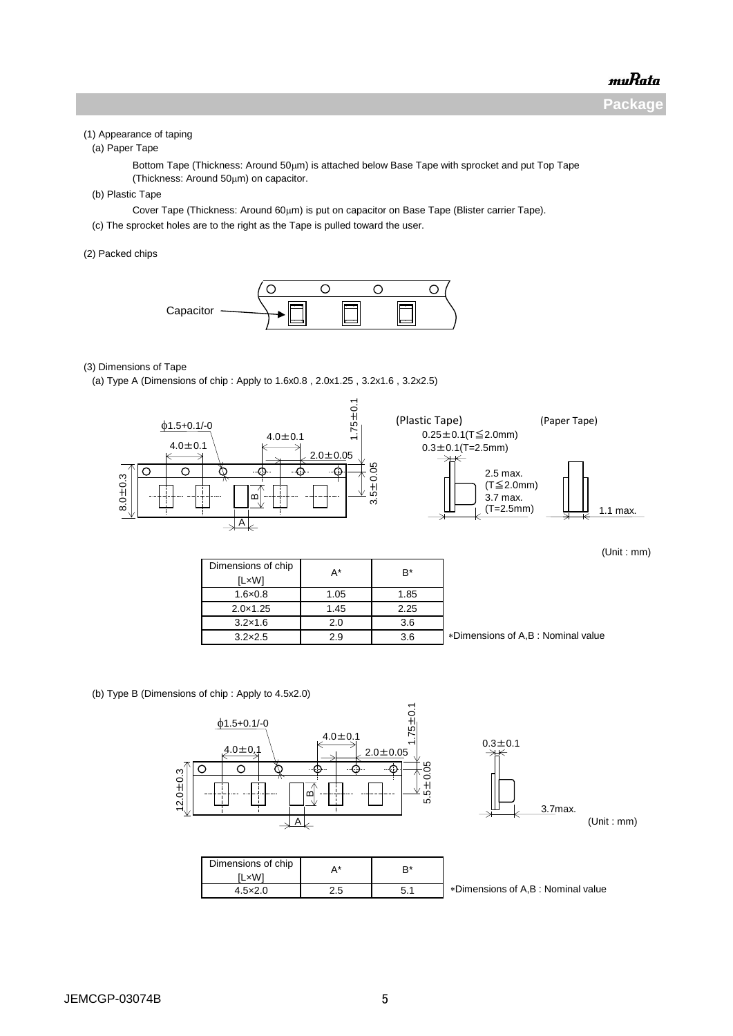**Package**

#### (1) Appearance of taping

(a) Paper Tape

Bottom Tape (Thickness: Around  $50 \mu m$ ) is attached below Base Tape with sprocket and put Top Tape (Thickness: Around  $50 \mu m$ ) on capacitor.

(b) Plastic Tape

Cover Tape (Thickness: Around 60μm) is put on capacitor on Base Tape (Blister carrier Tape).

(c) The sprocket holes are to the right as the Tape is pulled toward the user.

(2) Packed chips



#### (3) Dimensions of Tape

(a) Type A (Dimensions of chip : Apply to 1.6x0.8 , 2.0x1.25 , 3.2x1.6 , 3.2x2.5)



(Unit : mm)

| Dimensions of chip<br><b>ILxW1</b> | A*   | B*   |                                   |
|------------------------------------|------|------|-----------------------------------|
| $1.6 \times 0.8$                   | 1.05 | 1.85 |                                   |
| $2.0 \times 1.25$                  | 1.45 | 2.25 |                                   |
| $3.2\times1.6$                     | 2.0  | 3.6  |                                   |
| $3.2\times2.5$                     | 2.9  | 3.6  | *Dimensions of A.B: Nominal value |

(b) Type B (Dimensions of chip : Apply to 4.5x2.0)

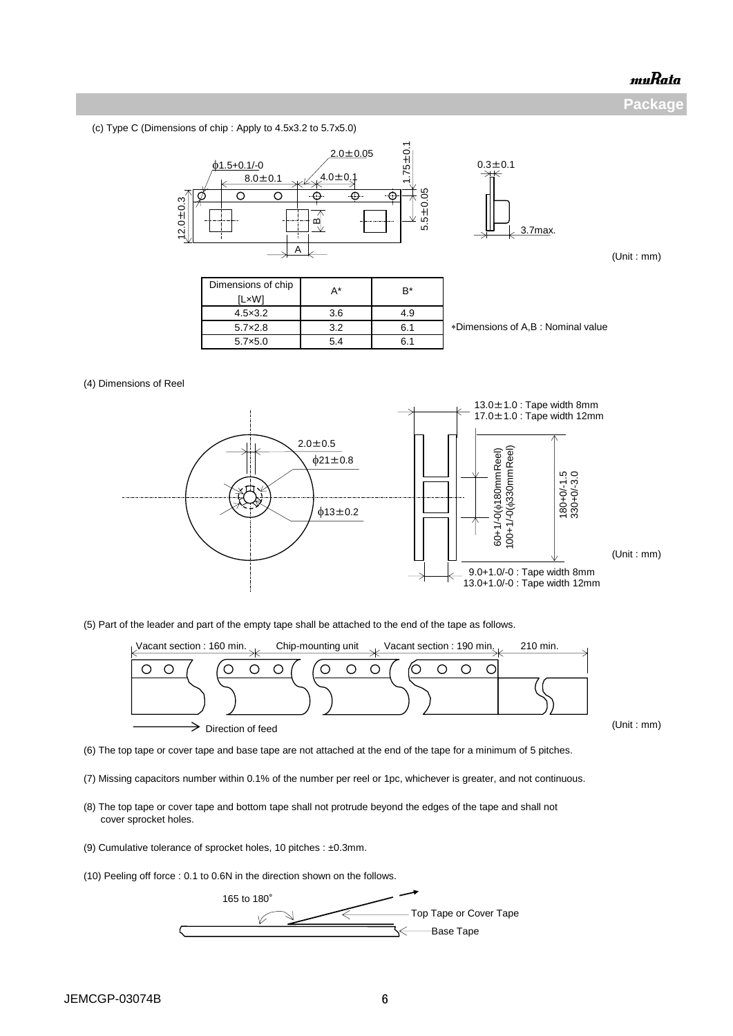**Package**

(c) Type C (Dimensions of chip : Apply to 4.5x3.2 to 5.7x5.0)



(5) Part of the leader and part of the empty tape shall be attached to the end of the tape as follows.



(Unit : mm)

(6) The top tape or cover tape and base tape are not attached at the end of the tape for a minimum of 5 pitches.

- (7) Missing capacitors number within 0.1% of the number per reel or 1pc, whichever is greater, and not continuous.
- (8) The top tape or cover tape and bottom tape shall not protrude beyond the edges of the tape and shall not cover sprocket holes.
- (9) Cumulative tolerance of sprocket holes, 10 pitches : ±0.3mm.

(10) Peeling off force : 0.1 to 0.6N in the direction shown on the follows.

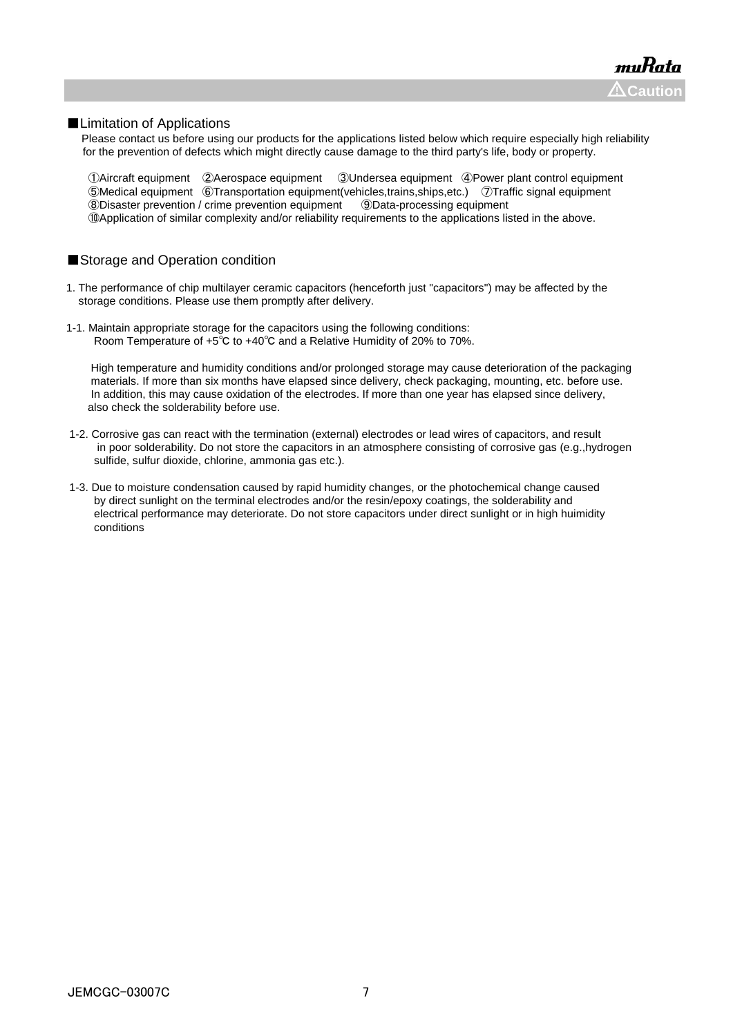#### ■Limitation of Applications

Please contact us before using our products for the applications listed below which require especially high reliability for the prevention of defects which might directly cause damage to the third party's life, body or property.

Aircraft equipment ②Aerospace equipment ③Undersea equipment ④Power plant control equipment Medical equipment ⑥Transportation equipment(vehicles,trains,ships,etc.) ⑦Traffic signal equipment Disaster prevention / crime prevention equipment ⑨Data-processing equipment ⑩Application of similar complexity and/or reliability requirements to the applications listed in the above.

#### ■Storage and Operation condition

- 1. The performance of chip multilayer ceramic capacitors (henceforth just "capacitors") may be affected by the storage conditions. Please use them promptly after delivery.
- 1-1. Maintain appropriate storage for the capacitors using the following conditions: Room Temperature of +5℃ to +40℃ and a Relative Humidity of 20% to 70%.

 High temperature and humidity conditions and/or prolonged storage may cause deterioration of the packaging materials. If more than six months have elapsed since delivery, check packaging, mounting, etc. before use. In addition, this may cause oxidation of the electrodes. If more than one year has elapsed since delivery, also check the solderability before use.

- 1-2. Corrosive gas can react with the termination (external) electrodes or lead wires of capacitors, and result in poor solderability. Do not store the capacitors in an atmosphere consisting of corrosive gas (e.g.,hydrogen sulfide, sulfur dioxide, chlorine, ammonia gas etc.).
- 1-3. Due to moisture condensation caused by rapid humidity changes, or the photochemical change caused by direct sunlight on the terminal electrodes and/or the resin/epoxy coatings, the solderability and electrical performance may deteriorate. Do not store capacitors under direct sunlight or in high huimidity conditions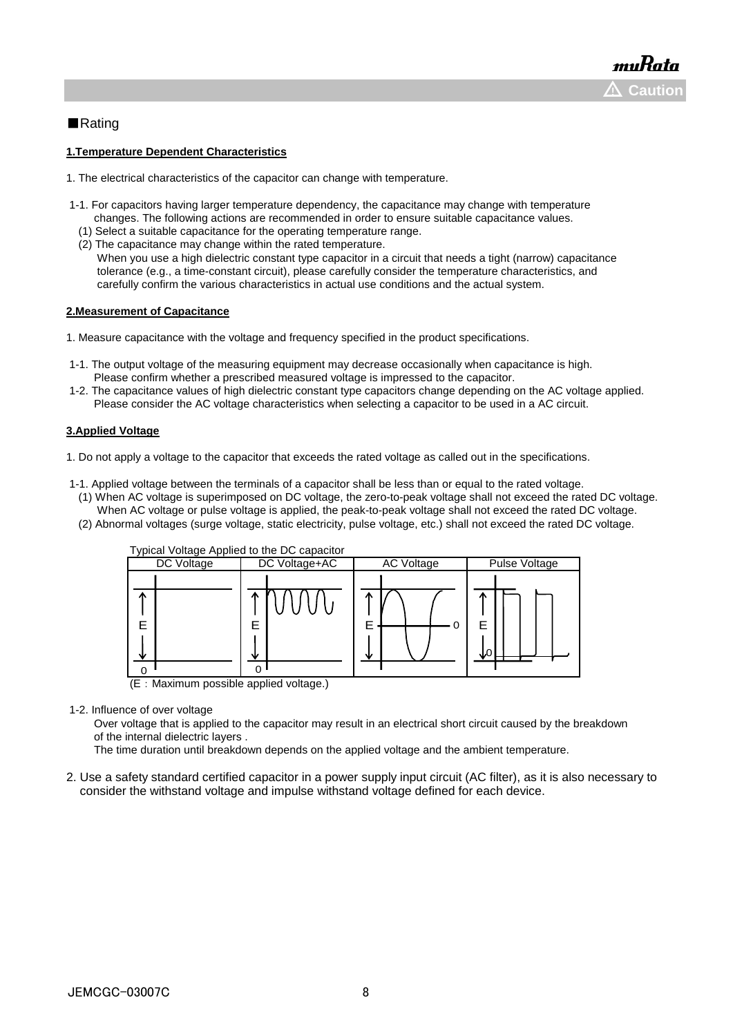### ■Rating

#### **1.Temperature Dependent Characteristics**

- 1. The electrical characteristics of the capacitor can change with temperature.
- 1-1. For capacitors having larger temperature dependency, the capacitance may change with temperature changes. The following actions are recommended in order to ensure suitable capacitance values.
	- (1) Select a suitable capacitance for the operating temperature range.
- (2) The capacitance may change within the rated temperature. When you use a high dielectric constant type capacitor in a circuit that needs a tight (narrow) capacitance
	- tolerance (e.g., a time-constant circuit), please carefully consider the temperature characteristics, and carefully confirm the various characteristics in actual use conditions and the actual system.

#### **2.Measurement of Capacitance**

1. Measure capacitance with the voltage and frequency specified in the product specifications.

- 1-1. The output voltage of the measuring equipment may decrease occasionally when capacitance is high. Please confirm whether a prescribed measured voltage is impressed to the capacitor.
- 1-2. The capacitance values of high dielectric constant type capacitors change depending on the AC voltage applied. Please consider the AC voltage characteristics when selecting a capacitor to be used in a AC circuit.

#### **3.Applied Voltage**

1. Do not apply a voltage to the capacitor that exceeds the rated voltage as called out in the specifications.

- 1-1. Applied voltage between the terminals of a capacitor shall be less than or equal to the rated voltage.
- (1) When AC voltage is superimposed on DC voltage, the zero-to-peak voltage shall not exceed the rated DC voltage. When AC voltage or pulse voltage is applied, the peak-to-peak voltage shall not exceed the rated DC voltage.
- (2) Abnormal voltages (surge voltage, static electricity, pulse voltage, etc.) shall not exceed the rated DC voltage.



1-2. Influence of over voltage

 Over voltage that is applied to the capacitor may result in an electrical short circuit caused by the breakdown of the internal dielectric layers .

The time duration until breakdown depends on the applied voltage and the ambient temperature.

2. Use a safety standard certified capacitor in a power supply input circuit (AC filter), as it is also necessary to consider the withstand voltage and impulse withstand voltage defined for each device.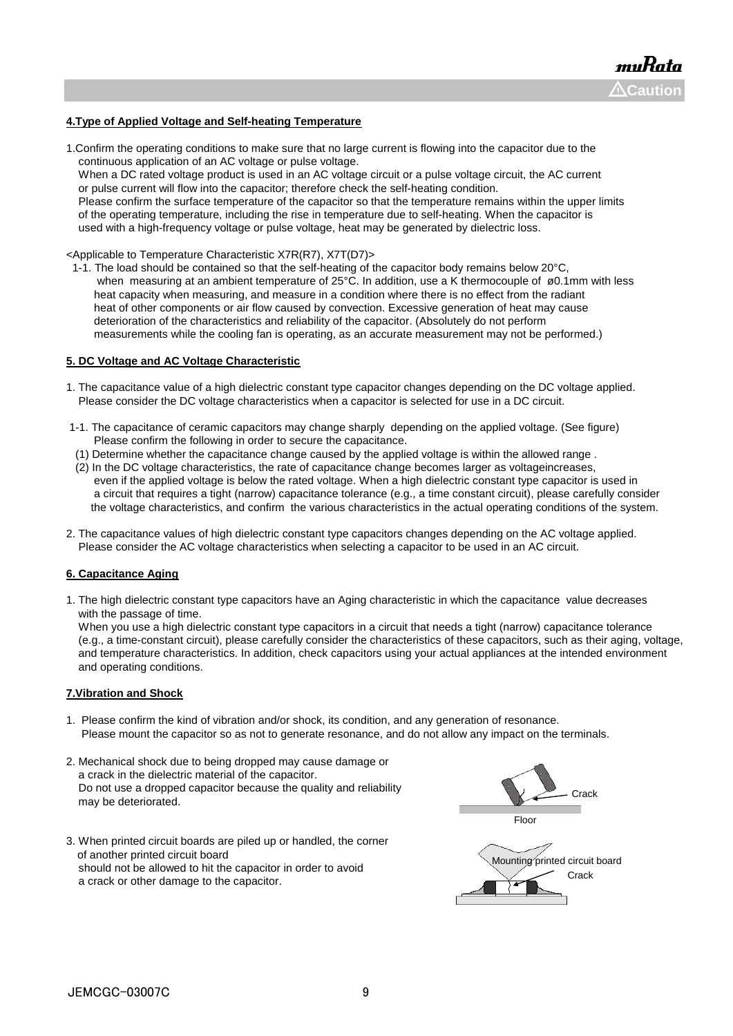#### **4.Type of Applied Voltage and Self-heating Temperature**

1.Confirm the operating conditions to make sure that no large current is flowing into the capacitor due to the continuous application of an AC voltage or pulse voltage.

 When a DC rated voltage product is used in an AC voltage circuit or a pulse voltage circuit, the AC current or pulse current will flow into the capacitor; therefore check the self-heating condition.

 Please confirm the surface temperature of the capacitor so that the temperature remains within the upper limits of the operating temperature, including the rise in temperature due to self-heating. When the capacitor is used with a high-frequency voltage or pulse voltage, heat may be generated by dielectric loss.

<Applicable to Temperature Characteristic X7R(R7), X7T(D7)>

 1-1. The load should be contained so that the self-heating of the capacitor body remains below 20°C, when measuring at an ambient temperature of 25°C. In addition, use a K thermocouple of ø0.1mm with less heat capacity when measuring, and measure in a condition where there is no effect from the radiant heat of other components or air flow caused by convection. Excessive generation of heat may cause deterioration of the characteristics and reliability of the capacitor. (Absolutely do not perform measurements while the cooling fan is operating, as an accurate measurement may not be performed.)

#### **5. DC Voltage and AC Voltage Characteristic**

- 1. The capacitance value of a high dielectric constant type capacitor changes depending on the DC voltage applied. Please consider the DC voltage characteristics when a capacitor is selected for use in a DC circuit.
- 1-1. The capacitance of ceramic capacitors may change sharply depending on the applied voltage. (See figure) Please confirm the following in order to secure the capacitance.
- (1) Determine whether the capacitance change caused by the applied voltage is within the allowed range .
- (2) In the DC voltage characteristics, the rate of capacitance change becomes larger as voltageincreases, even if the applied voltage is below the rated voltage. When a high dielectric constant type capacitor is used in a circuit that requires a tight (narrow) capacitance tolerance (e.g., a time constant circuit), please carefully consider the voltage characteristics, and confirm the various characteristics in the actual operating conditions of the system.
- 2. The capacitance values of high dielectric constant type capacitors changes depending on the AC voltage applied. Please consider the AC voltage characteristics when selecting a capacitor to be used in an AC circuit.

#### **6. Capacitance Aging**

1. The high dielectric constant type capacitors have an Aging characteristic in which the capacitance value decreases with the passage of time.

 When you use a high dielectric constant type capacitors in a circuit that needs a tight (narrow) capacitance tolerance (e.g., a time-constant circuit), please carefully consider the characteristics of these capacitors, such as their aging, voltage, and temperature characteristics. In addition, check capacitors using your actual appliances at the intended environment and operating conditions.

#### **7.Vibration and Shock**

- 1. Please confirm the kind of vibration and/or shock, its condition, and any generation of resonance. Please mount the capacitor so as not to generate resonance, and do not allow any impact on the terminals.
- 2. Mechanical shock due to being dropped may cause damage or a crack in the dielectric material of the capacitor. Do not use a dropped capacitor because the quality and reliability may be deteriorated.
- 3. When printed circuit boards are piled up or handled, the corner of another printed circuit board should not be allowed to hit the capacitor in order to avoid a crack or other damage to the capacitor.

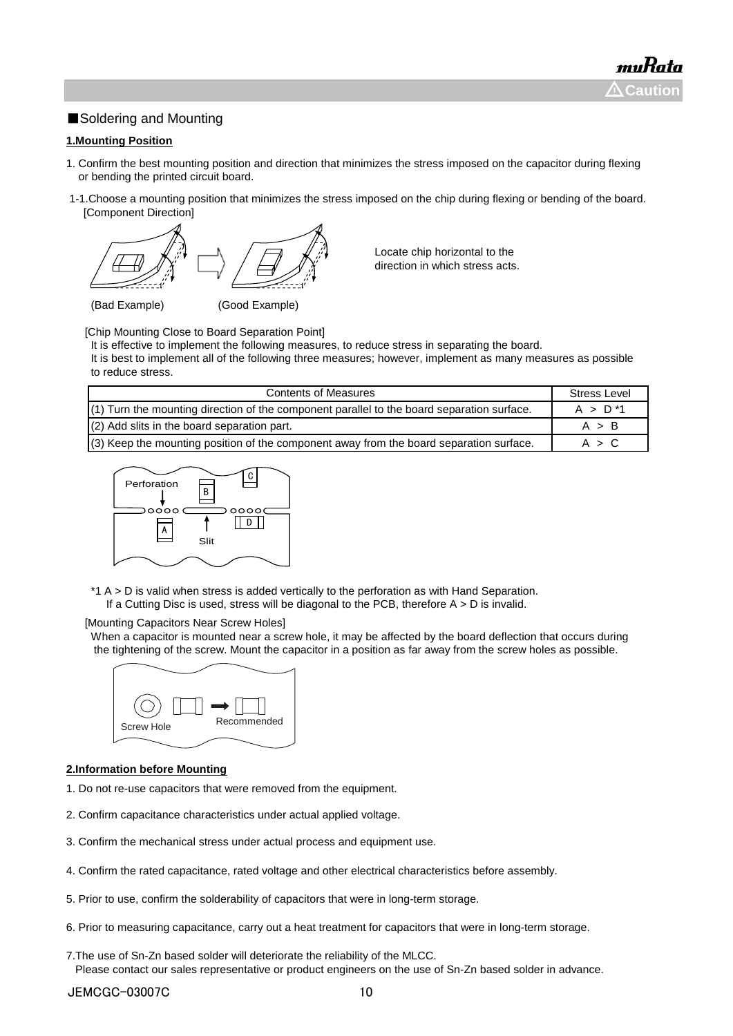## ■Soldering and Mounting

#### **1.Mounting Position**

- 1. Confirm the best mounting position and direction that minimizes the stress imposed on the capacitor during flexing or bending the printed circuit board.
- 1-1.Choose a mounting position that minimizes the stress imposed on the chip during flexing or bending of the board. [Component Direction]



Locate chip horizontal to the direction in which stress acts.

(Bad Example) (Good Example)

[Chip Mounting Close to Board Separation Point]

It is effective to implement the following measures, to reduce stress in separating the board.

It is best to implement all of the following three measures; however, implement as many measures as possible to reduce stress.

| <b>Contents of Measures</b>                                                                  | <b>Stress Level</b> |
|----------------------------------------------------------------------------------------------|---------------------|
| $(1)$ Turn the mounting direction of the component parallel to the board separation surface. | $A > D^*1$          |
| $(2)$ Add slits in the board separation part.                                                | A > B               |
| (3) Keep the mounting position of the component away from the board separation surface.      | A > C               |



\*1 A > D is valid when stress is added vertically to the perforation as with Hand Separation. If a Cutting Disc is used, stress will be diagonal to the PCB, therefore  $A > D$  is invalid.

#### [Mounting Capacitors Near Screw Holes]

When a capacitor is mounted near a screw hole, it may be affected by the board deflection that occurs during the tightening of the screw. Mount the capacitor in a position as far away from the screw holes as possible.



#### **2.Information before Mounting**

- 1. Do not re-use capacitors that were removed from the equipment.
- 2. Confirm capacitance characteristics under actual applied voltage.
- 3. Confirm the mechanical stress under actual process and equipment use.
- 4. Confirm the rated capacitance, rated voltage and other electrical characteristics before assembly.
- 5. Prior to use, confirm the solderability of capacitors that were in long-term storage.
- 6. Prior to measuring capacitance, carry out a heat treatment for capacitors that were in long-term storage.
- 7.The use of Sn-Zn based solder will deteriorate the reliability of the MLCC. Please contact our sales representative or product engineers on the use of Sn-Zn based solder in advance.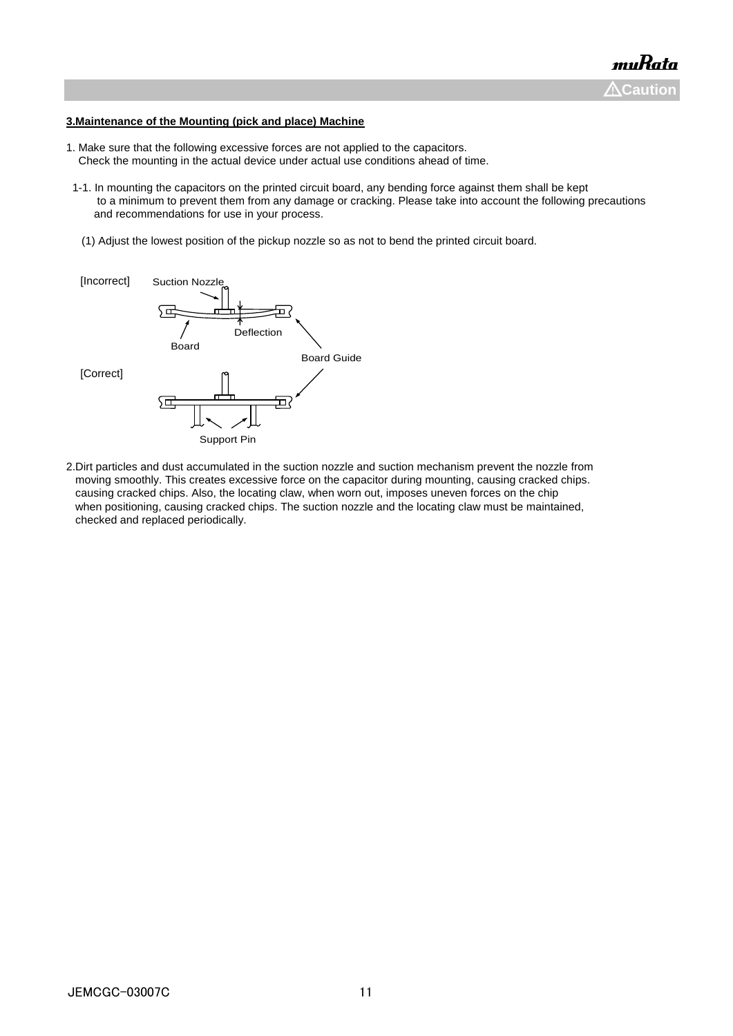#### **3.Maintenance of the Mounting (pick and place) Machine**

- 1. Make sure that the following excessive forces are not applied to the capacitors. Check the mounting in the actual device under actual use conditions ahead of time.
- 1-1. In mounting the capacitors on the printed circuit board, any bending force against them shall be kept to a minimum to prevent them from any damage or cracking. Please take into account the following precautions and recommendations for use in your process.
- (1) Adjust the lowest position of the pickup nozzle so as not to bend the printed circuit board.



2.Dirt particles and dust accumulated in the suction nozzle and suction mechanism prevent the nozzle from moving smoothly. This creates excessive force on the capacitor during mounting, causing cracked chips. causing cracked chips. Also, the locating claw, when worn out, imposes uneven forces on the chip when positioning, causing cracked chips. The suction nozzle and the locating claw must be maintained, checked and replaced periodically.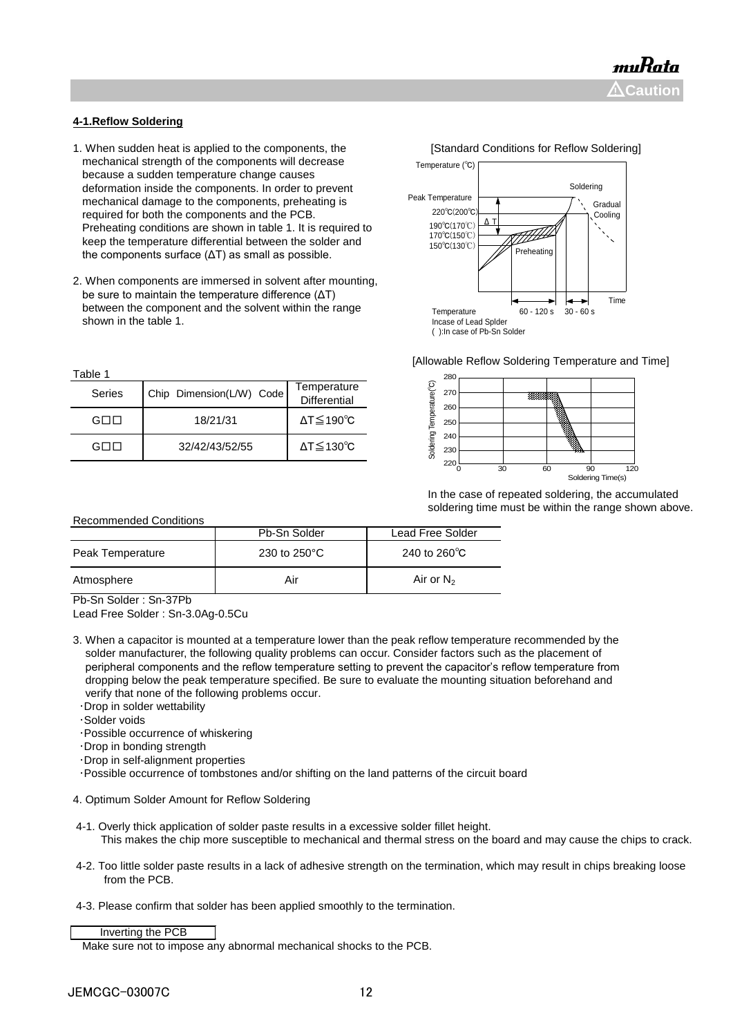#### **4-1.Reflow Soldering**

- 1. When sudden heat is applied to the components, the **[Standard Conditions for Reflow Soldering]**  mechanical strength of the components will decrease because a sudden temperature change causes deformation inside the components. In order to prevent mechanical damage to the components, preheating is required for both the components and the PCB. Preheating conditions are shown in table 1. It is required to keep the temperature differential between the solder and the components surface (ΔT) as small as possible.
- 2. When components are immersed in solvent after mounting, be sure to maintain the temperature difference (ΔT) between the component and the solvent within the range shown in the table 1.

Table 1

| ravie i |                          |                                    |
|---------|--------------------------|------------------------------------|
| Series  | Chip Dimension(L/W) Code | Temperature<br><b>Differential</b> |
| GOO     | 18/21/31                 | $\Delta T \leq 190^{\circ}C$       |
| GOO     | 32/42/43/52/55           | $\Delta T \leq 130^{\circ}C$       |



[Allowable Reflow Soldering Temperature and Time]



 In the case of repeated soldering, the accumulated soldering time must be within the range shown above.

| <b>Recommended Conditions</b> |              |                         |  |
|-------------------------------|--------------|-------------------------|--|
|                               | Pb-Sn Solder | Lead Free Solder        |  |
| Peak Temperature              | 230 to 250°C | 240 to 260 $^{\circ}$ C |  |
| Atmosphere                    | Air          | Air or $N_2$            |  |

Pb-Sn Solder : Sn-37Pb

Lead Free Solder : Sn-3.0Ag-0.5Cu

- 3. When a capacitor is mounted at a temperature lower than the peak reflow temperature recommended by the solder manufacturer, the following quality problems can occur. Consider factors such as the placement of peripheral components and the reflow temperature setting to prevent the capacitor's reflow temperature from dropping below the peak temperature specified. Be sure to evaluate the mounting situation beforehand and verify that none of the following problems occur.
	- ・Drop in solder wettability
	- ・Solder voids
- ・Possible occurrence of whiskering
- ・Drop in bonding strength
- ・Drop in self-alignment properties
- ・Possible occurrence of tombstones and/or shifting on the land patterns of the circuit board
- 4. Optimum Solder Amount for Reflow Soldering
- 4-1. Overly thick application of solder paste results in a excessive solder fillet height. This makes the chip more susceptible to mechanical and thermal stress on the board and may cause the chips to crack.
- 4-2. Too little solder paste results in a lack of adhesive strength on the termination, which may result in chips breaking loose from the PCB.
- 4-3. Please confirm that solder has been applied smoothly to the termination.

Inverting the PCB

Make sure not to impose any abnormal mechanical shocks to the PCB.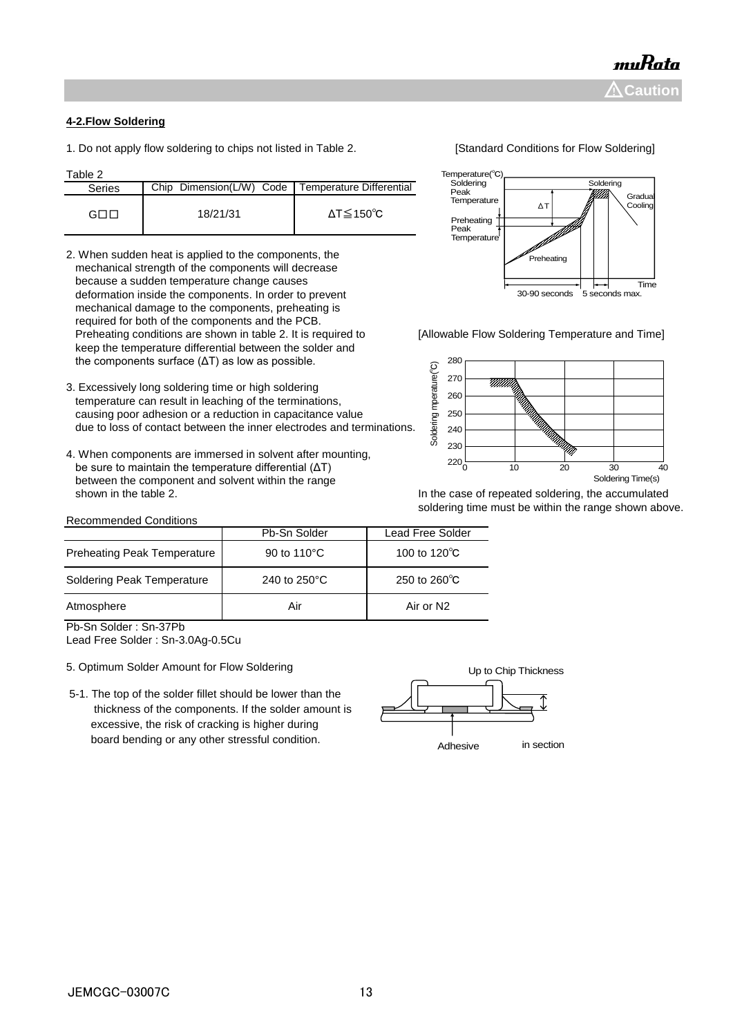#### **4-2.Flow Soldering**

1. Do not apply flow soldering to chips not listed in Table 2. [Standard Conditions for Flow Soldering]

Table 2

| Laure 2 |                                                     |                              |
|---------|-----------------------------------------------------|------------------------------|
| Series  | Chip Dimension(L/W) Code   Temperature Differential |                              |
| апг     | 18/21/31                                            | $\Delta T \leq 150^{\circ}C$ |

- 2. When sudden heat is applied to the components, the mechanical strength of the components will decrease because a sudden temperature change causes deformation inside the components. In order to prevent mechanical damage to the components, preheating is required for both of the components and the PCB. Preheating conditions are shown in table 2. It is required to [Allowable Flow Soldering Temperature and Time] keep the temperature differential between the solder and the components surface (ΔT) as low as possible.
- 3. Excessively long soldering time or high soldering temperature can result in leaching of the terminations, causing poor adhesion or a reduction in capacitance value due to loss of contact between the inner electrodes and terminations.
- 4. When components are immersed in solvent after mounting, be sure to maintain the temperature differential (ΔT) between the component and solvent within the range shown in the table 2. **In the case of repeated soldering, the accumulated** shown in the table 2.

#### Recommended Conditions

| mperature(°C)       |    |           |                    |
|---------------------|----|-----------|--------------------|
| Soldering           |    | Soldering |                    |
| Peak<br>Temperature | ΔT |           | Gradual<br>Cooling |
| Preheating          |    |           |                    |

 $T_{\mathsf{P}}$ 

Temperature

Time

30-90 seconds 5 seconds max.

Preheati



soldering time must be within the range shown above.

|                                    | Pb-Sn Solder | <b>Lead Free Solder</b> |  |  |
|------------------------------------|--------------|-------------------------|--|--|
| <b>Preheating Peak Temperature</b> | 90 to 110°C  | 100 to 120 $\degree$ C  |  |  |
| Soldering Peak Temperature         | 240 to 250°C | 250 to 260 $\degree$ C  |  |  |
| Atmosphere                         | Air          | Air or N2               |  |  |
|                                    |              |                         |  |  |

Pb-Sn Solder : Sn-37Pb

Lead Free Solder : Sn-3.0Ag-0.5Cu

- 5. Optimum Solder Amount for Flow Soldering
- 5-1. The top of the solder fillet should be lower than the thickness of the components. If the solder amount is excessive, the risk of cracking is higher during board bending or any other stressful condition.

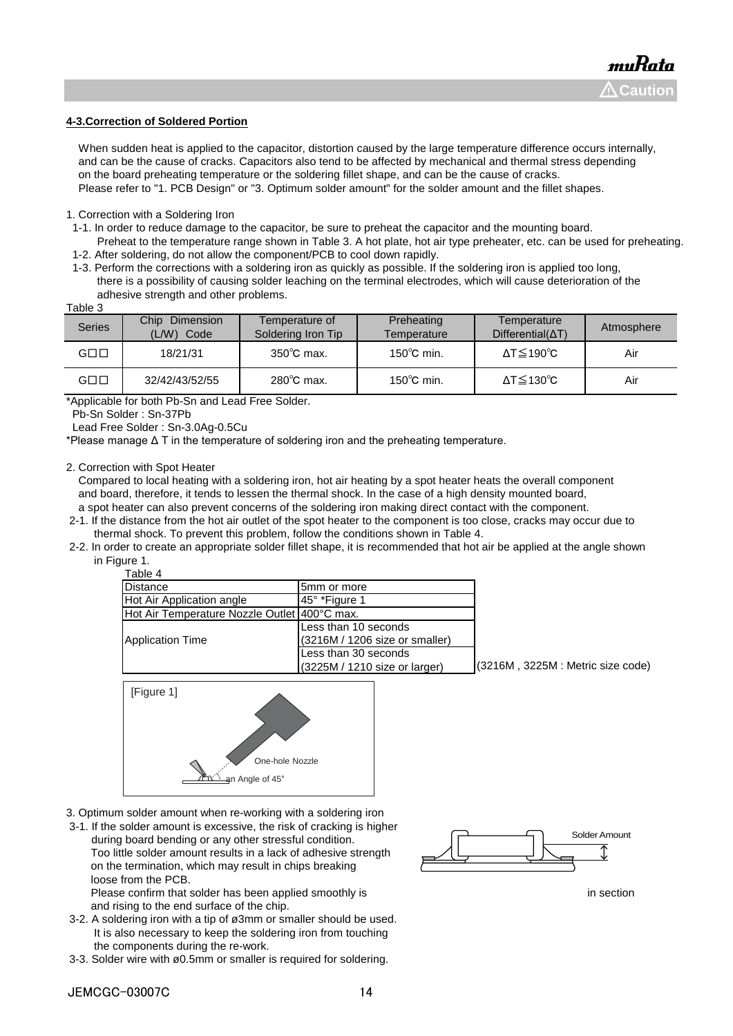#### **4-3.Correction of Soldered Portion**

When sudden heat is applied to the capacitor, distortion caused by the large temperature difference occurs internally, and can be the cause of cracks. Capacitors also tend to be affected by mechanical and thermal stress depending on the board preheating temperature or the soldering fillet shape, and can be the cause of cracks. Please refer to "1. PCB Design" or "3. Optimum solder amount" for the solder amount and the fillet shapes.

1. Correction with a Soldering Iron

- 1-1. In order to reduce damage to the capacitor, be sure to preheat the capacitor and the mounting board.
- Preheat to the temperature range shown in Table 3. A hot plate, hot air type preheater, etc. can be used for preheating. 1-2. After soldering, do not allow the component/PCB to cool down rapidly.
- 1-3. Perform the corrections with a soldering iron as quickly as possible. If the soldering iron is applied too long, there is a possibility of causing solder leaching on the terminal electrodes, which will cause deterioration of the adhesive strength and other problems.

| ٠. |  |
|----|--|
|----|--|

| <b>Series</b>       | <b>Chip</b><br>Dimension<br>(L/W)<br>Code | Temperature of<br>Soldering Iron Tip | Preheating<br>Temperature | Temperature<br>$Differential(\Delta T)$ | Atmosphere |
|---------------------|-------------------------------------------|--------------------------------------|---------------------------|-----------------------------------------|------------|
| $G \square \square$ | 18/21/31                                  | $350^{\circ}$ C max.                 | $150^{\circ}$ C min.      | $\Delta T \le 190^{\circ}C$             | Air        |
| $G \square \square$ | 32/42/43/52/55                            | $280^{\circ}$ C max.                 | $150^{\circ}$ C min.      | $\Delta T \leq 130^{\circ}C$            | Air        |

\*Applicable for both Pb-Sn and Lead Free Solder.

Pb-Sn Solder : Sn-37Pb

Lead Free Solder : Sn-3.0Ag-0.5Cu

\*Please manage Δ T in the temperature of soldering iron and the preheating temperature.

2. Correction with Spot Heater

 Compared to local heating with a soldering iron, hot air heating by a spot heater heats the overall component and board, therefore, it tends to lessen the thermal shock. In the case of a high density mounted board, a spot heater can also prevent concerns of the soldering iron making direct contact with the component.

- 2-1. If the distance from the hot air outlet of the spot heater to the component is too close, cracks may occur due to thermal shock. To prevent this problem, follow the conditions shown in Table 4.
- 2-2. In order to create an appropriate solder fillet shape, it is recommended that hot air be applied at the angle shown in Figure 1

|  | ⊶⊷ | -- |         |  |
|--|----|----|---------|--|
|  |    |    | Table 4 |  |

| Distance                                       | 5mm or more                     |                                   |
|------------------------------------------------|---------------------------------|-----------------------------------|
| Hot Air Application angle                      | 145° *Figure 1                  |                                   |
| Hot Air Temperature Nozzle Outlet   400°C max. |                                 |                                   |
|                                                | Less than 10 seconds            |                                   |
| Application Time                               | (3216M / 1206 size or smaller)  |                                   |
|                                                | Less than 30 seconds            |                                   |
|                                                | $(3225M / 1210$ size or larger) | (3216M, 3225M : Metric size code) |



- 3. Optimum solder amount when re-working with a soldering iron
- 3-1. If the solder amount is excessive, the risk of cracking is higher during board bending or any other stressful condition. Too little solder amount results in a lack of adhesive strength on the termination, which may result in chips breaking loose from the PCB.

Please confirm that solder has been applied smoothly is in section in section and rising to the end surface of the chip.

- 3-2. A soldering iron with a tip of ø3mm or smaller should be used. It is also necessary to keep the soldering iron from touching the components during the re-work.
- 3-3. Solder wire with ø0.5mm or smaller is required for soldering.

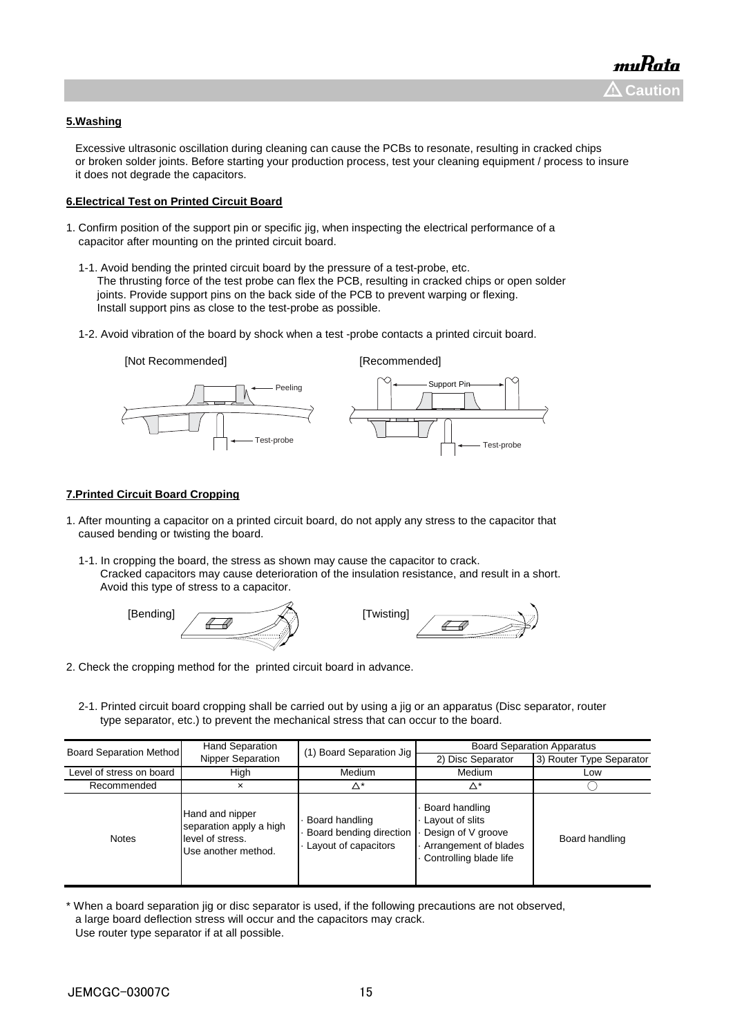#### **5.Washing**

 Excessive ultrasonic oscillation during cleaning can cause the PCBs to resonate, resulting in cracked chips or broken solder joints. Before starting your production process, test your cleaning equipment / process to insure it does not degrade the capacitors.

#### **6.Electrical Test on Printed Circuit Board**

- 1. Confirm position of the support pin or specific jig, when inspecting the electrical performance of a capacitor after mounting on the printed circuit board.
	- 1-1. Avoid bending the printed circuit board by the pressure of a test-probe, etc. The thrusting force of the test probe can flex the PCB, resulting in cracked chips or open solder joints. Provide support pins on the back side of the PCB to prevent warping or flexing. Install support pins as close to the test-probe as possible.
	- 1-2. Avoid vibration of the board by shock when a test -probe contacts a printed circuit board.



#### **7.Printed Circuit Board Cropping**

- 1. After mounting a capacitor on a printed circuit board, do not apply any stress to the capacitor that caused bending or twisting the board.
	- 1-1. In cropping the board, the stress as shown may cause the capacitor to crack. Cracked capacitors may cause deterioration of the insulation resistance, and result in a short. Avoid this type of stress to a capacitor.





- 2. Check the cropping method for the printed circuit board in advance.
	- 2-1. Printed circuit board cropping shall be carried out by using a jig or an apparatus (Disc separator, router type separator, etc.) to prevent the mechanical stress that can occur to the board.

| <b>Board Separation Method</b> | <b>Hand Separation</b>                                                                | (1) Board Separation Jig                                          | <b>Board Separation Apparatus</b>                                                                          |                          |
|--------------------------------|---------------------------------------------------------------------------------------|-------------------------------------------------------------------|------------------------------------------------------------------------------------------------------------|--------------------------|
|                                | Nipper Separation                                                                     |                                                                   | 2) Disc Separator                                                                                          | 3) Router Type Separator |
| Level of stress on board       | High                                                                                  | Medium                                                            | Medium                                                                                                     | Low                      |
| Recommended                    | ×                                                                                     | Δ*                                                                | Δ*                                                                                                         |                          |
| <b>Notes</b>                   | Hand and nipper<br>separation apply a high<br>level of stress.<br>Use another method. | Board handling<br>Board bending direction<br>Layout of capacitors | Board handling<br>Layout of slits<br>Design of V groove<br>Arrangement of blades<br>Controlling blade life | Board handling           |

<sup>\*</sup> When a board separation jig or disc separator is used, if the following precautions are not observed, a large board deflection stress will occur and the capacitors may crack. Use router type separator if at all possible.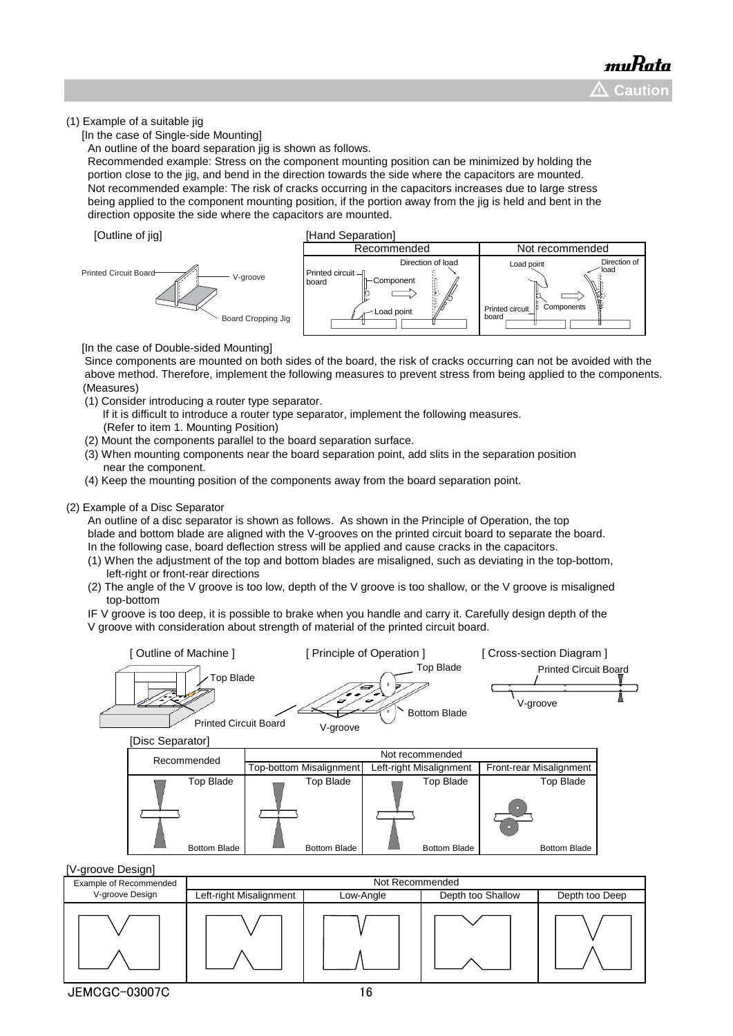#### (1) Example of a suitable jig

[In the case of Single-side Mounting]

An outline of the board separation jig is shown as follows.

 Recommended example: Stress on the component mounting position can be minimized by holding the portion close to the jig, and bend in the direction towards the side where the capacitors are mounted. Not recommended example: The risk of cracks occurring in the capacitors increases due to large stress being applied to the component mounting position, if the portion away from the jig is held and bent in the direction opposite the side where the capacitors are mounted.





[In the case of Double-sided Mounting]

 Since components are mounted on both sides of the board, the risk of cracks occurring can not be avoided with the above method. Therefore, implement the following measures to prevent stress from being applied to the components. (Measures)

- (1) Consider introducing a router type separator.
	- If it is difficult to introduce a router type separator, implement the following measures. (Refer to item 1. Mounting Position)
- (2) Mount the components parallel to the board separation surface.
- (3) When mounting components near the board separation point, add slits in the separation position near the component.
- (4) Keep the mounting position of the components away from the board separation point.

#### (2) Example of a Disc Separator

 An outline of a disc separator is shown as follows. As shown in the Principle of Operation, the top blade and bottom blade are aligned with the V-grooves on the printed circuit board to separate the board. In the following case, board deflection stress will be applied and cause cracks in the capacitors.

- (1) When the adjustment of the top and bottom blades are misaligned, such as deviating in the top-bottom, left-right or front-rear directions
- (2) The angle of the V groove is too low, depth of the V groove is too shallow, or the V groove is misaligned top-bottom

 IF V groove is too deep, it is possible to brake when you handle and carry it. Carefully design depth of the V groove with consideration about strength of material of the printed circuit board.



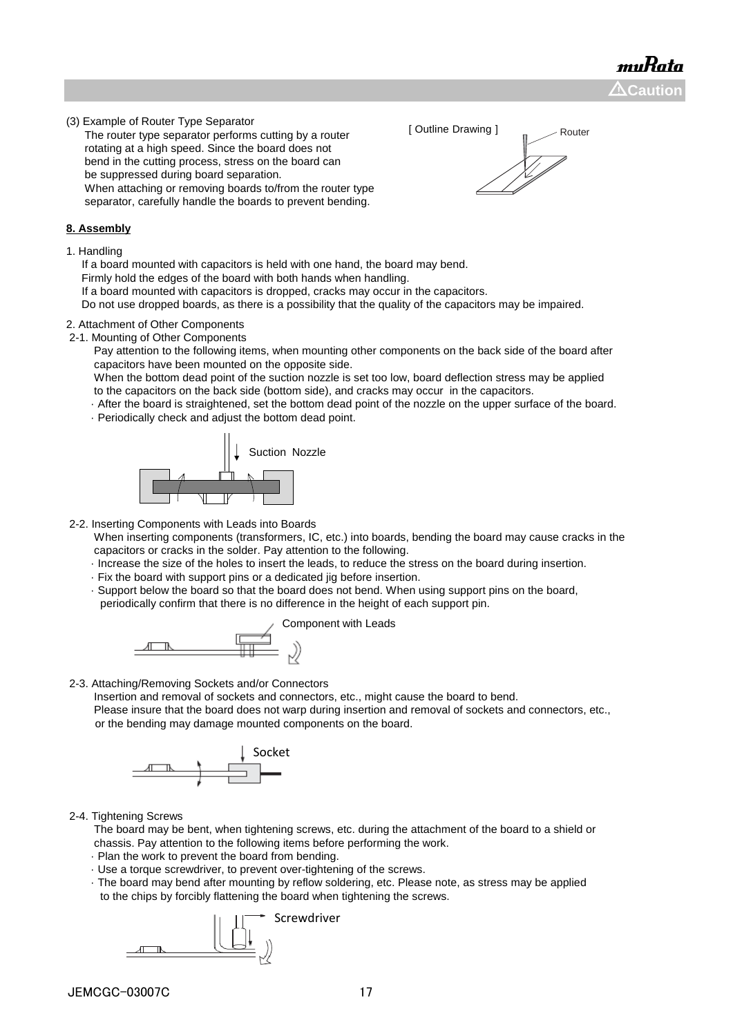muRata  $\Delta$ Caution

[ Outline Drawing ] Router

(3) Example of Router Type Separator

 The router type separator performs cutting by a router rotating at a high speed. Since the board does not bend in the cutting process, stress on the board can be suppressed during board separation. When attaching or removing boards to/from the router type separator, carefully handle the boards to prevent bending.

#### **8. Assembly**

1. Handling

If a board mounted with capacitors is held with one hand, the board may bend.

Firmly hold the edges of the board with both hands when handling.

If a board mounted with capacitors is dropped, cracks may occur in the capacitors.

Do not use dropped boards, as there is a possibility that the quality of the capacitors may be impaired.

#### 2. Attachment of Other Components

2-1. Mounting of Other Components

 Pay attention to the following items, when mounting other components on the back side of the board after capacitors have been mounted on the opposite side.

 When the bottom dead point of the suction nozzle is set too low, board deflection stress may be applied to the capacitors on the back side (bottom side), and cracks may occur in the capacitors.

- · After the board is straightened, set the bottom dead point of the nozzle on the upper surface of the board.
- · Periodically check and adjust the bottom dead point.



- 2-2. Inserting Components with Leads into Boards
	- When inserting components (transformers, IC, etc.) into boards, bending the board may cause cracks in the capacitors or cracks in the solder. Pay attention to the following.
	- · Increase the size of the holes to insert the leads, to reduce the stress on the board during insertion.
	- · Fix the board with support pins or a dedicated jig before insertion.
	- · Support below the board so that the board does not bend. When using support pins on the board, periodically confirm that there is no difference in the height of each support pin.



2-3. Attaching/Removing Sockets and/or Connectors

 Insertion and removal of sockets and connectors, etc., might cause the board to bend. Please insure that the board does not warp during insertion and removal of sockets and connectors, etc., or the bending may damage mounted components on the board.



2-4. Tightening Screws

 The board may be bent, when tightening screws, etc. during the attachment of the board to a shield or chassis. Pay attention to the following items before performing the work.

- · Plan the work to prevent the board from bending.
- · Use a torque screwdriver, to prevent over-tightening of the screws.
- · The board may bend after mounting by reflow soldering, etc. Please note, as stress may be applied to the chips by forcibly flattening the board when tightening the screws.

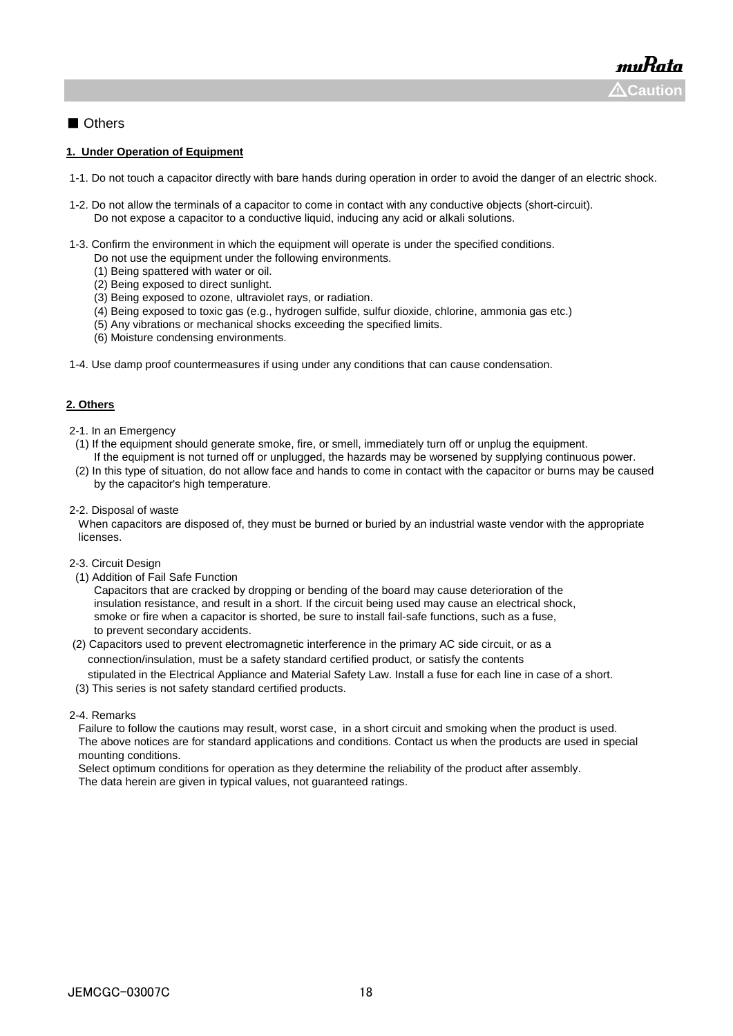#### ■ Others

#### **1. Under Operation of Equipment**

- 1-1. Do not touch a capacitor directly with bare hands during operation in order to avoid the danger of an electric shock.
- 1-2. Do not allow the terminals of a capacitor to come in contact with any conductive objects (short-circuit). Do not expose a capacitor to a conductive liquid, inducing any acid or alkali solutions.
- 1-3. Confirm the environment in which the equipment will operate is under the specified conditions.
	- Do not use the equipment under the following environments.
	- (1) Being spattered with water or oil.
	- (2) Being exposed to direct sunlight.
	- (3) Being exposed to ozone, ultraviolet rays, or radiation.
	- (4) Being exposed to toxic gas (e.g., hydrogen sulfide, sulfur dioxide, chlorine, ammonia gas etc.)
	- (5) Any vibrations or mechanical shocks exceeding the specified limits.
	- (6) Moisture condensing environments.
- 1-4. Use damp proof countermeasures if using under any conditions that can cause condensation.

#### **2. Others**

- 2-1. In an Emergency
- (1) If the equipment should generate smoke, fire, or smell, immediately turn off or unplug the equipment. If the equipment is not turned off or unplugged, the hazards may be worsened by supplying continuous power.
- (2) In this type of situation, do not allow face and hands to come in contact with the capacitor or burns may be caused by the capacitor's high temperature.
- 2-2. Disposal of waste

 When capacitors are disposed of, they must be burned or buried by an industrial waste vendor with the appropriate licenses.

- 2-3. Circuit Design
- (1) Addition of Fail Safe Function

 Capacitors that are cracked by dropping or bending of the board may cause deterioration of the insulation resistance, and result in a short. If the circuit being used may cause an electrical shock, smoke or fire when a capacitor is shorted, be sure to install fail-safe functions, such as a fuse, to prevent secondary accidents.

 (2) Capacitors used to prevent electromagnetic interference in the primary AC side circuit, or as a connection/insulation, must be a safety standard certified product, or satisfy the contents stipulated in the Electrical Appliance and Material Safety Law. Install a fuse for each line in case of a short.

(3) This series is not safety standard certified products.

#### 2-4. Remarks

 Failure to follow the cautions may result, worst case, in a short circuit and smoking when the product is used. The above notices are for standard applications and conditions. Contact us when the products are used in special mounting conditions.

 Select optimum conditions for operation as they determine the reliability of the product after assembly. The data herein are given in typical values, not guaranteed ratings.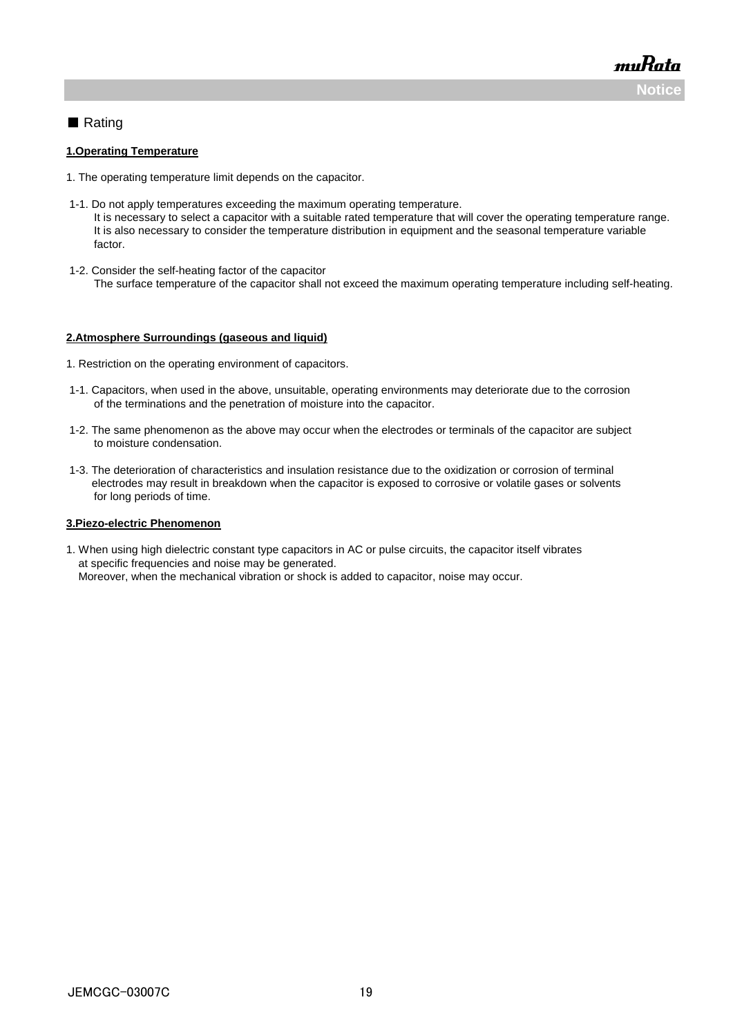muRata **Noti** 

#### ■ Rating

#### **1.Operating Temperature**

- 1. The operating temperature limit depends on the capacitor.
- 1-1. Do not apply temperatures exceeding the maximum operating temperature. It is necessary to select a capacitor with a suitable rated temperature that will cover the operating temperature range. It is also necessary to consider the temperature distribution in equipment and the seasonal temperature variable factor.
- 1-2. Consider the self-heating factor of the capacitor The surface temperature of the capacitor shall not exceed the maximum operating temperature including self-heating.

#### **2.Atmosphere Surroundings (gaseous and liquid)**

- 1. Restriction on the operating environment of capacitors.
- 1-1. Capacitors, when used in the above, unsuitable, operating environments may deteriorate due to the corrosion of the terminations and the penetration of moisture into the capacitor.
- 1-2. The same phenomenon as the above may occur when the electrodes or terminals of the capacitor are subject to moisture condensation.
- 1-3. The deterioration of characteristics and insulation resistance due to the oxidization or corrosion of terminal electrodes may result in breakdown when the capacitor is exposed to corrosive or volatile gases or solvents for long periods of time.

#### **3.Piezo-electric Phenomenon**

1. When using high dielectric constant type capacitors in AC or pulse circuits, the capacitor itself vibrates at specific frequencies and noise may be generated. Moreover, when the mechanical vibration or shock is added to capacitor, noise may occur.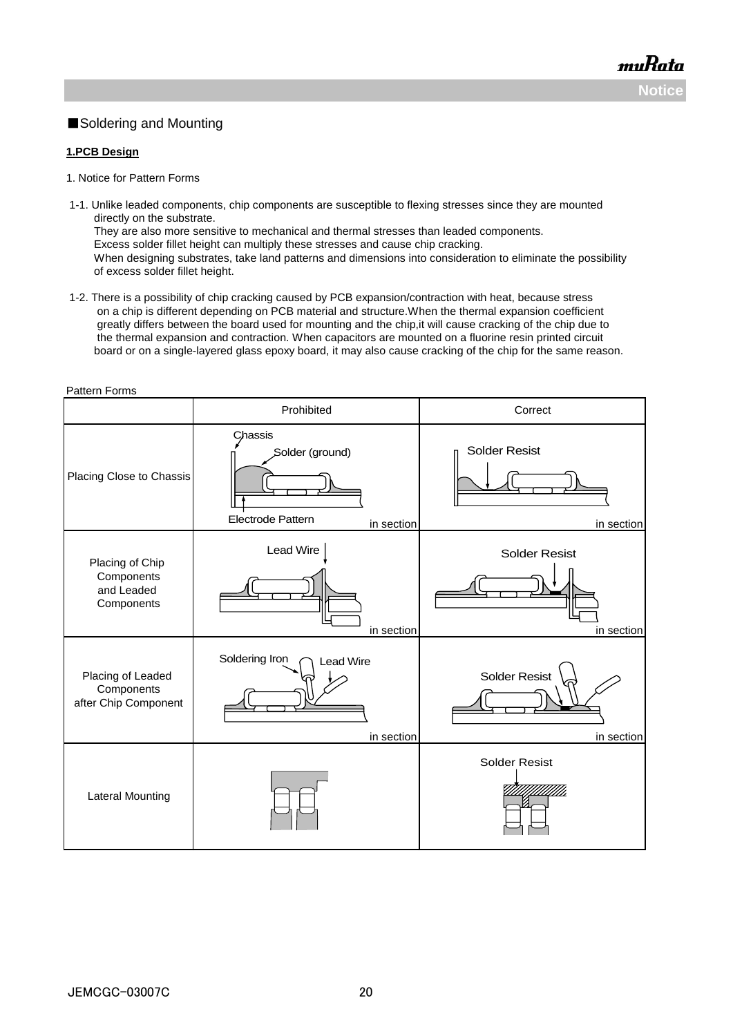### ■Soldering and Mounting

#### **1.PCB Design**

Pattern Forms

- 1. Notice for Pattern Forms
- 1-1. Unlike leaded components, chip components are susceptible to flexing stresses since they are mounted directly on the substrate. They are also more sensitive to mechanical and thermal stresses than leaded components. Excess solder fillet height can multiply these stresses and cause chip cracking. When designing substrates, take land patterns and dimensions into consideration to eliminate the possibility of excess solder fillet height.
- 1-2. There is a possibility of chip cracking caused by PCB expansion/contraction with heat, because stress on a chip is different depending on PCB material and structure.When the thermal expansion coefficient greatly differs between the board used for mounting and the chip,it will cause cracking of the chip due to the thermal expansion and contraction. When capacitors are mounted on a fluorine resin printed circuit board or on a single-layered glass epoxy board, it may also cause cracking of the chip for the same reason.

| allon Lonno                                               | Prohibited                                                    | Correct                            |
|-----------------------------------------------------------|---------------------------------------------------------------|------------------------------------|
| Placing Close to Chassis                                  | Chassis<br>Solder (ground)<br>Electrode Pattern<br>in section | <b>Solder Resist</b><br>in section |
| Placing of Chip<br>Components<br>and Leaded<br>Components | <b>Lead Wire</b><br>in section                                | <b>Solder Resist</b><br>in section |
| Placing of Leaded<br>Components<br>after Chip Component   | Soldering Iron<br><b>Lead Wire</b><br>in section              | <b>Solder Resist</b><br>in section |
| <b>Lateral Mounting</b>                                   |                                                               | <b>Solder Resist</b>               |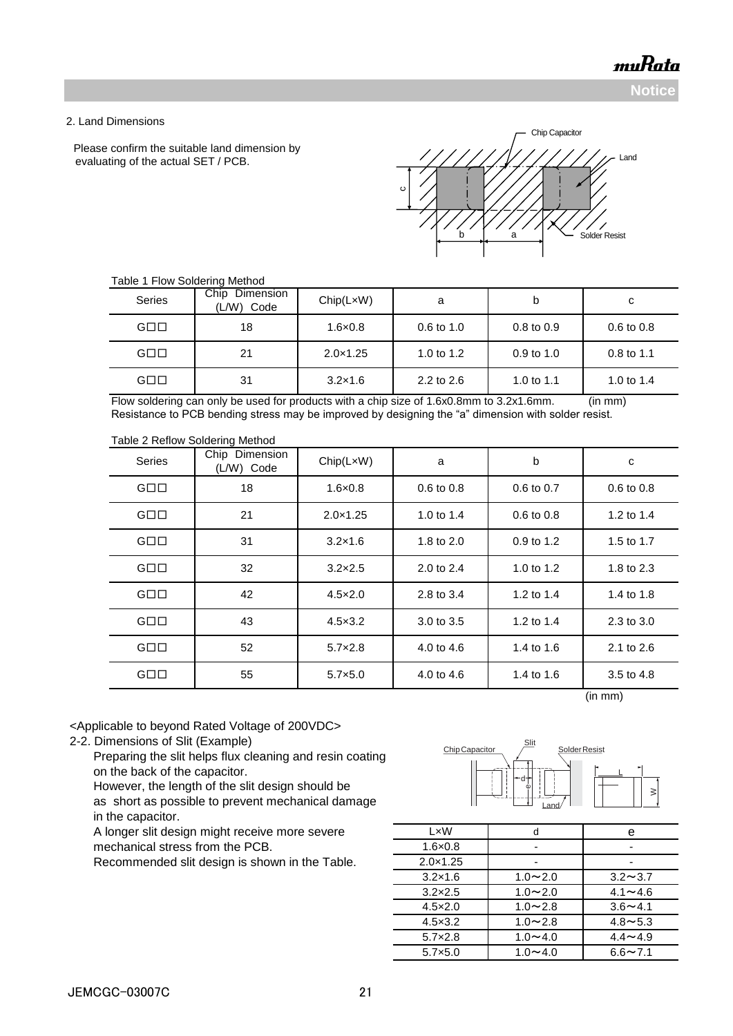**Notice**

#### 2. Land Dimensions

Please confirm the suitable land dimension by evaluating of the actual SET / PCB.



| <b>Series</b>       | Chip<br>Dimension<br>(L/W)<br>Code | Chip(LxW)         | a                     | b              | С                     |
|---------------------|------------------------------------|-------------------|-----------------------|----------------|-----------------------|
| $G \square \square$ | 18                                 | $1.6 \times 0.8$  | $0.6 \text{ to } 1.0$ | $0.8$ to $0.9$ | $0.6 \text{ to } 0.8$ |
| $G \square \square$ | 21                                 | $2.0 \times 1.25$ | 1.0 to 1.2            | $0.9$ to 1.0   | $0.8$ to 1.1          |
| $G \square \square$ | 31                                 | $3.2 \times 1.6$  | 2.2 to 2.6            | 1.0 to 1.1     | 1.0 to $1.4$          |

#### Table 1 Flow Soldering Method

Flow soldering can only be used for products with a chip size of 1.6x0.8mm to 3.2x1.6mm. (in mm) Resistance to PCB bending stress may be improved by designing the "a" dimension with solder resist.

### Table 2 Reflow Soldering Method

| <b>Series</b>       | Chip Dimension<br>(L/W) Code | Chip(LxW)         | a              | b              | c              |
|---------------------|------------------------------|-------------------|----------------|----------------|----------------|
| $G \square \square$ | 18                           | $1.6 \times 0.8$  | $0.6$ to $0.8$ | $0.6$ to $0.7$ | $0.6$ to $0.8$ |
| $G \square \square$ | 21                           | $2.0 \times 1.25$ | 1.0 to $1.4$   | $0.6$ to $0.8$ | 1.2 to 1.4     |
| $G \square \square$ | 31                           | $3.2 \times 1.6$  | 1.8 to 2.0     | 0.9 to 1.2     | 1.5 to 1.7     |
| $G \square \square$ | 32                           | $3.2\times2.5$    | 2.0 to 2.4     | 1.0 to 1.2     | 1.8 to 2.3     |
| $G \square \square$ | 42                           | $4.5 \times 2.0$  | 2.8 to 3.4     | 1.2 to 1.4     | 1.4 to 1.8     |
| $G \square \square$ | 43                           | $4.5 \times 3.2$  | 3.0 to 3.5     | 1.2 to 1.4     | 2.3 to 3.0     |
| $G \square \square$ | 52                           | $5.7 \times 2.8$  | 4.0 to 4.6     | 1.4 to 1.6     | 2.1 to 2.6     |
| $G \square \square$ | 55                           | $5.7 \times 5.0$  | 4.0 to 4.6     | 1.4 to 1.6     | 3.5 to 4.8     |

(in mm)

<Applicable to beyond Rated Voltage of 200VDC>

2-2. Dimensions of Slit (Example)

 Preparing the slit helps flux cleaning and resin coating on the back of the capacitor.

However, the length of the slit design should be

 as short as possible to prevent mechanical damage in the capacitor.

A longer slit design might receive more severe mechanical stress from the PCB.

Recommended slit design is shown in the Table.



| LxW               | d           | е              |
|-------------------|-------------|----------------|
| $1.6 \times 0.8$  |             |                |
| $2.0 \times 1.25$ |             |                |
| $3.2 \times 1.6$  | $1.0 - 2.0$ | $3.2 \sim 3.7$ |
| $3.2 \times 2.5$  | $1.0 - 2.0$ | $4.1 \sim 4.6$ |
| $4.5 \times 2.0$  | $1.0 - 2.8$ | $3.6 - 4.1$    |
| $4.5 \times 3.2$  | $1.0 - 2.8$ | $4.8 \sim 5.3$ |
| $5.7 \times 2.8$  | $1.0 - 4.0$ | $4.4 \sim 4.9$ |
| $5.7\times5.0$    | $1.0 - 4.0$ | $6.6 - 7.1$    |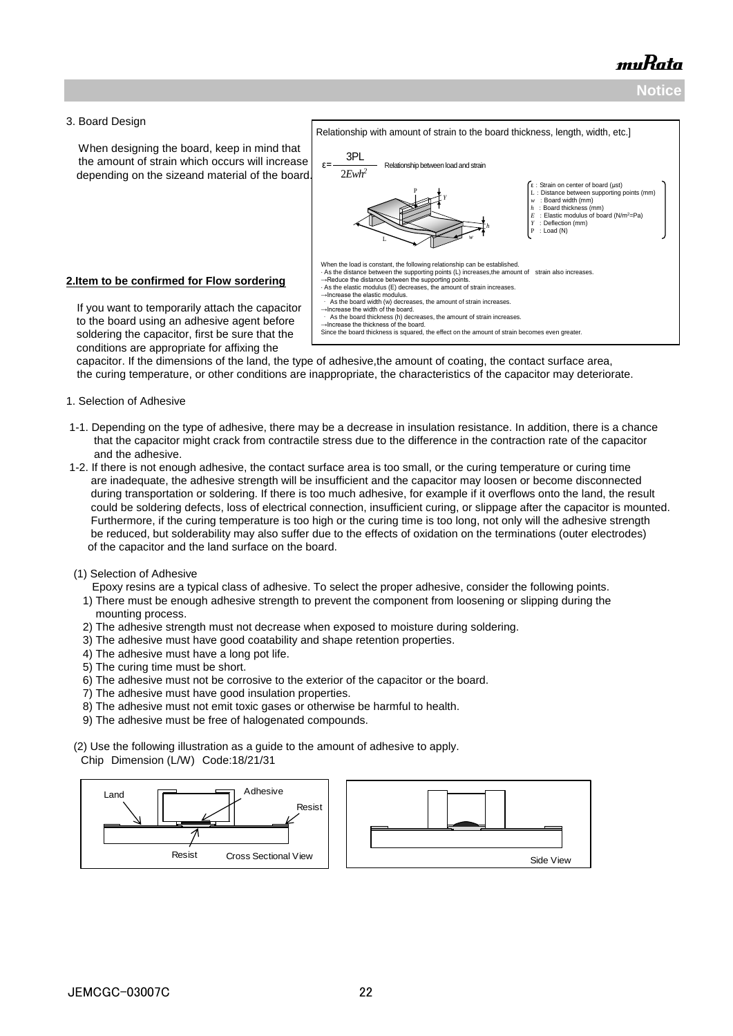#### 3. Board Design

 When designing the board, keep in mind that the amount of strain which occurs will increase depending on the sizeand material of the board.

#### **2.Item to be confirmed for Flow sordering**

 If you want to temporarily attach the capacitor to the board using an adhesive agent before soldering the capacitor, first be sure that the conditions are appropriate for affixing the



 capacitor. If the dimensions of the land, the type of adhesive,the amount of coating, the contact surface area, the curing temperature, or other conditions are inappropriate, the characteristics of the capacitor may deteriorate.

#### 1. Selection of Adhesive

- 1-1. Depending on the type of adhesive, there may be a decrease in insulation resistance. In addition, there is a chance that the capacitor might crack from contractile stress due to the difference in the contraction rate of the capacitor and the adhesive.
- 1-2. If there is not enough adhesive, the contact surface area is too small, or the curing temperature or curing time are inadequate, the adhesive strength will be insufficient and the capacitor may loosen or become disconnected during transportation or soldering. If there is too much adhesive, for example if it overflows onto the land, the result could be soldering defects, loss of electrical connection, insufficient curing, or slippage after the capacitor is mounted. Furthermore, if the curing temperature is too high or the curing time is too long, not only will the adhesive strength be reduced, but solderability may also suffer due to the effects of oxidation on the terminations (outer electrodes) of the capacitor and the land surface on the board.

#### (1) Selection of Adhesive

Epoxy resins are a typical class of adhesive. To select the proper adhesive, consider the following points.

- 1) There must be enough adhesive strength to prevent the component from loosening or slipping during the mounting process.
- 2) The adhesive strength must not decrease when exposed to moisture during soldering.
- 3) The adhesive must have good coatability and shape retention properties.
- 4) The adhesive must have a long pot life.
- 5) The curing time must be short.
- 6) The adhesive must not be corrosive to the exterior of the capacitor or the board.
- 7) The adhesive must have good insulation properties.
- 8) The adhesive must not emit toxic gases or otherwise be harmful to health.
- 9) The adhesive must be free of halogenated compounds.

(2) Use the following illustration as a guide to the amount of adhesive to apply. Chip Dimension (L/W) Code:18/21/31

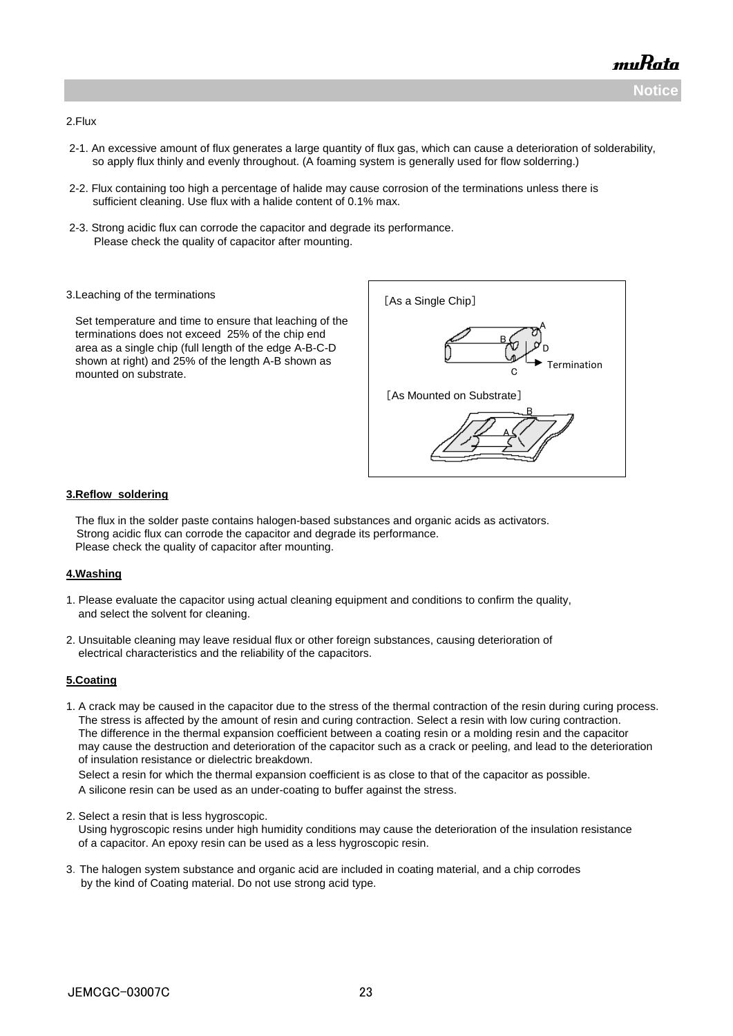

#### 2.Flux

- 2-1. An excessive amount of flux generates a large quantity of flux gas, which can cause a deterioration of solderability, so apply flux thinly and evenly throughout. (A foaming system is generally used for flow solderring.)
- 2-2. Flux containing too high a percentage of halide may cause corrosion of the terminations unless there is sufficient cleaning. Use flux with a halide content of 0.1% max.
- 2-3. Strong acidic flux can corrode the capacitor and degrade its performance. Please check the quality of capacitor after mounting.
- 3.Leaching of the terminations

 Set temperature and time to ensure that leaching of the terminations does not exceed 25% of the chip end area as a single chip (full length of the edge A-B-C-D shown at right) and 25% of the length A-B shown as mounted on substrate.



#### **3.Reflow soldering**

 The flux in the solder paste contains halogen-based substances and organic acids as activators. Strong acidic flux can corrode the capacitor and degrade its performance. Please check the quality of capacitor after mounting.

#### **4.Washing**

- 1. Please evaluate the capacitor using actual cleaning equipment and conditions to confirm the quality, and select the solvent for cleaning.
- 2. Unsuitable cleaning may leave residual flux or other foreign substances, causing deterioration of electrical characteristics and the reliability of the capacitors.

#### **5.Coating**

1. A crack may be caused in the capacitor due to the stress of the thermal contraction of the resin during curing process. The stress is affected by the amount of resin and curing contraction. Select a resin with low curing contraction. The difference in the thermal expansion coefficient between a coating resin or a molding resin and the capacitor may cause the destruction and deterioration of the capacitor such as a crack or peeling, and lead to the deterioration of insulation resistance or dielectric breakdown.

 Select a resin for which the thermal expansion coefficient is as close to that of the capacitor as possible. A silicone resin can be used as an under-coating to buffer against the stress.

- 2. Select a resin that is less hygroscopic. Using hygroscopic resins under high humidity conditions may cause the deterioration of the insulation resistance of a capacitor. An epoxy resin can be used as a less hygroscopic resin.
- 3.The halogen system substance and organic acid are included in coating material, and a chip corrodes by the kind of Coating material. Do not use strong acid type.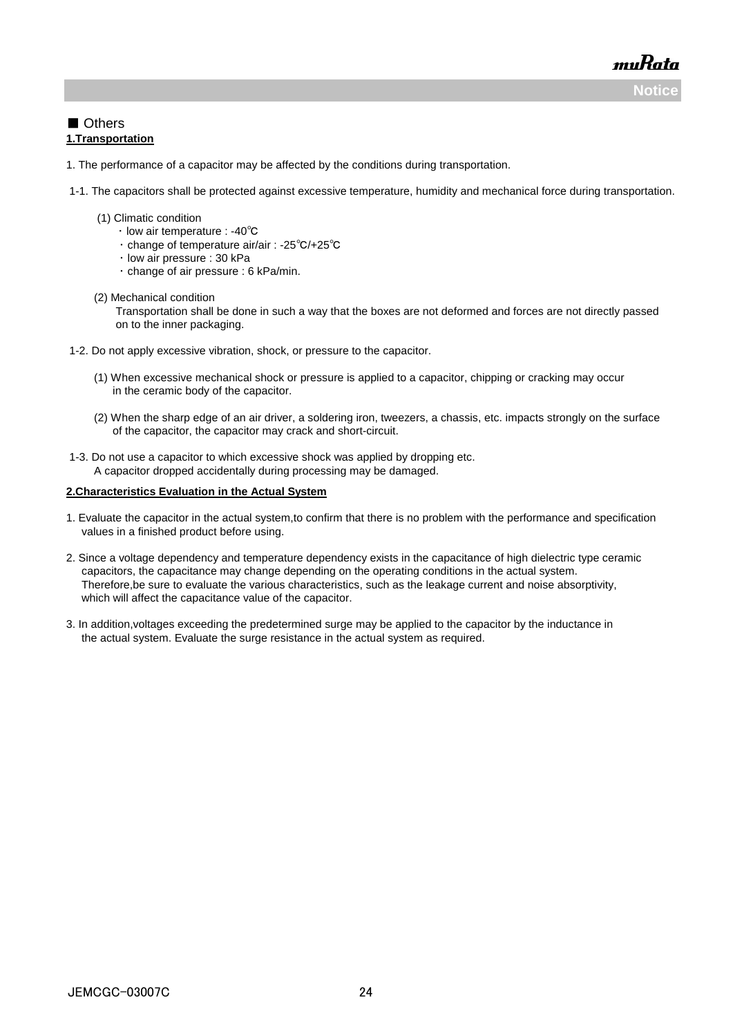**Notice**

muRata

#### ■ Others **1.Transportation**

- 1. The performance of a capacitor may be affected by the conditions during transportation.
- 1-1. The capacitors shall be protected against excessive temperature, humidity and mechanical force during transportation.
	- (1) Climatic condition
		- ・ low air temperature : -40℃
		- ・ change of temperature air/air : -25℃/+25℃
		- ・ low air pressure : 30 kPa
			- ・ change of air pressure : 6 kPa/min.
	- (2) Mechanical condition

 Transportation shall be done in such a way that the boxes are not deformed and forces are not directly passed on to the inner packaging.

- 1-2. Do not apply excessive vibration, shock, or pressure to the capacitor.
	- (1) When excessive mechanical shock or pressure is applied to a capacitor, chipping or cracking may occur in the ceramic body of the capacitor.
	- (2) When the sharp edge of an air driver, a soldering iron, tweezers, a chassis, etc. impacts strongly on the surface of the capacitor, the capacitor may crack and short-circuit.
- 1-3. Do not use a capacitor to which excessive shock was applied by dropping etc. A capacitor dropped accidentally during processing may be damaged.

#### **2.Characteristics Evaluation in the Actual System**

- 1. Evaluate the capacitor in the actual system,to confirm that there is no problem with the performance and specification values in a finished product before using.
- 2. Since a voltage dependency and temperature dependency exists in the capacitance of high dielectric type ceramic capacitors, the capacitance may change depending on the operating conditions in the actual system. Therefore,be sure to evaluate the various characteristics, such as the leakage current and noise absorptivity, which will affect the capacitance value of the capacitor.
- 3. In addition,voltages exceeding the predetermined surge may be applied to the capacitor by the inductance in the actual system. Evaluate the surge resistance in the actual system as required.